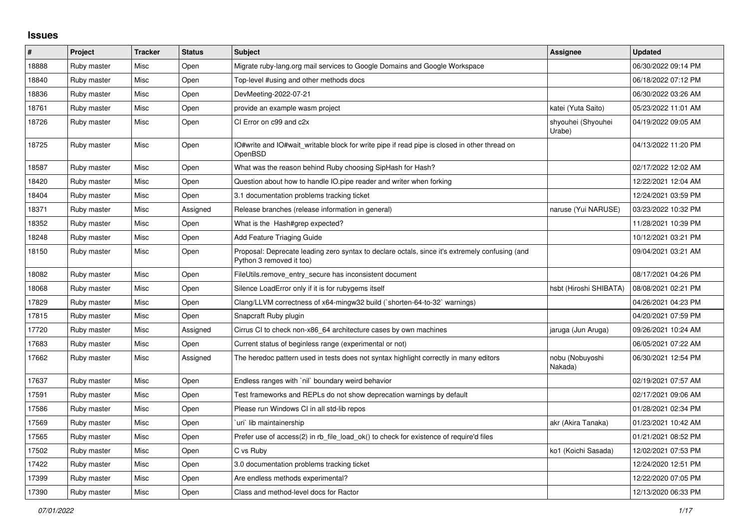## **Issues**

| $\#$  | Project     | <b>Tracker</b> | <b>Status</b> | <b>Subject</b>                                                                                                             | <b>Assignee</b>              | <b>Updated</b>      |
|-------|-------------|----------------|---------------|----------------------------------------------------------------------------------------------------------------------------|------------------------------|---------------------|
| 18888 | Ruby master | Misc           | Open          | Migrate ruby-lang.org mail services to Google Domains and Google Workspace                                                 |                              | 06/30/2022 09:14 PM |
| 18840 | Ruby master | Misc           | Open          | Top-level #using and other methods docs                                                                                    |                              | 06/18/2022 07:12 PM |
| 18836 | Ruby master | Misc           | Open          | DevMeeting-2022-07-21                                                                                                      |                              | 06/30/2022 03:26 AM |
| 18761 | Ruby master | Misc           | Open          | provide an example wasm project                                                                                            | katei (Yuta Saito)           | 05/23/2022 11:01 AM |
| 18726 | Ruby master | Misc           | Open          | CI Error on c99 and c2x                                                                                                    | shyouhei (Shyouhei<br>Urabe) | 04/19/2022 09:05 AM |
| 18725 | Ruby master | Misc           | Open          | IO#write and IO#wait_writable block for write pipe if read pipe is closed in other thread on<br>OpenBSD                    |                              | 04/13/2022 11:20 PM |
| 18587 | Ruby master | Misc           | Open          | What was the reason behind Ruby choosing SipHash for Hash?                                                                 |                              | 02/17/2022 12:02 AM |
| 18420 | Ruby master | Misc           | Open          | Question about how to handle IO.pipe reader and writer when forking                                                        |                              | 12/22/2021 12:04 AM |
| 18404 | Ruby master | Misc           | Open          | 3.1 documentation problems tracking ticket                                                                                 |                              | 12/24/2021 03:59 PM |
| 18371 | Ruby master | Misc           | Assigned      | Release branches (release information in general)                                                                          | naruse (Yui NARUSE)          | 03/23/2022 10:32 PM |
| 18352 | Ruby master | Misc           | Open          | What is the Hash#grep expected?                                                                                            |                              | 11/28/2021 10:39 PM |
| 18248 | Ruby master | Misc           | Open          | Add Feature Triaging Guide                                                                                                 |                              | 10/12/2021 03:21 PM |
| 18150 | Ruby master | Misc           | Open          | Proposal: Deprecate leading zero syntax to declare octals, since it's extremely confusing (and<br>Python 3 removed it too) |                              | 09/04/2021 03:21 AM |
| 18082 | Ruby master | Misc           | Open          | FileUtils.remove entry secure has inconsistent document                                                                    |                              | 08/17/2021 04:26 PM |
| 18068 | Ruby master | Misc           | Open          | Silence LoadError only if it is for rubygems itself                                                                        | hsbt (Hiroshi SHIBATA)       | 08/08/2021 02:21 PM |
| 17829 | Ruby master | Misc           | Open          | Clang/LLVM correctness of x64-mingw32 build (`shorten-64-to-32` warnings)                                                  |                              | 04/26/2021 04:23 PM |
| 17815 | Ruby master | Misc           | Open          | Snapcraft Ruby plugin                                                                                                      |                              | 04/20/2021 07:59 PM |
| 17720 | Ruby master | Misc           | Assigned      | Cirrus CI to check non-x86 64 architecture cases by own machines                                                           | jaruga (Jun Aruga)           | 09/26/2021 10:24 AM |
| 17683 | Ruby master | Misc           | Open          | Current status of beginless range (experimental or not)                                                                    |                              | 06/05/2021 07:22 AM |
| 17662 | Ruby master | Misc           | Assigned      | The heredoc pattern used in tests does not syntax highlight correctly in many editors                                      | nobu (Nobuyoshi<br>Nakada)   | 06/30/2021 12:54 PM |
| 17637 | Ruby master | Misc           | Open          | Endless ranges with `nil` boundary weird behavior                                                                          |                              | 02/19/2021 07:57 AM |
| 17591 | Ruby master | Misc           | Open          | Test frameworks and REPLs do not show deprecation warnings by default                                                      |                              | 02/17/2021 09:06 AM |
| 17586 | Ruby master | Misc           | Open          | Please run Windows CI in all std-lib repos                                                                                 |                              | 01/28/2021 02:34 PM |
| 17569 | Ruby master | Misc           | Open          | uri lib maintainership                                                                                                     | akr (Akira Tanaka)           | 01/23/2021 10:42 AM |
| 17565 | Ruby master | Misc           | Open          | Prefer use of access(2) in rb file load ok() to check for existence of require'd files                                     |                              | 01/21/2021 08:52 PM |
| 17502 | Ruby master | Misc           | Open          | C vs Ruby                                                                                                                  | ko1 (Koichi Sasada)          | 12/02/2021 07:53 PM |
| 17422 | Ruby master | Misc           | Open          | 3.0 documentation problems tracking ticket                                                                                 |                              | 12/24/2020 12:51 PM |
| 17399 | Ruby master | Misc           | Open          | Are endless methods experimental?                                                                                          |                              | 12/22/2020 07:05 PM |
| 17390 | Ruby master | Misc           | Open          | Class and method-level docs for Ractor                                                                                     |                              | 12/13/2020 06:33 PM |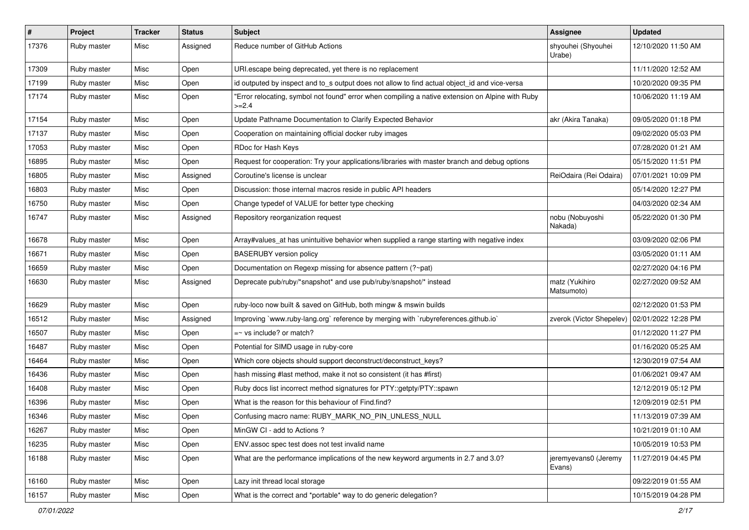| $\pmb{\#}$ | Project     | <b>Tracker</b> | <b>Status</b> | Subject                                                                                                   | Assignee                       | <b>Updated</b>      |
|------------|-------------|----------------|---------------|-----------------------------------------------------------------------------------------------------------|--------------------------------|---------------------|
| 17376      | Ruby master | Misc           | Assigned      | Reduce number of GitHub Actions                                                                           | shyouhei (Shyouhei<br>Urabe)   | 12/10/2020 11:50 AM |
| 17309      | Ruby master | Misc           | Open          | URI.escape being deprecated, yet there is no replacement                                                  |                                | 11/11/2020 12:52 AM |
| 17199      | Ruby master | Misc           | Open          | id outputed by inspect and to_s output does not allow to find actual object_id and vice-versa             |                                | 10/20/2020 09:35 PM |
| 17174      | Ruby master | Misc           | Open          | "Error relocating, symbol not found" error when compiling a native extension on Alpine with Ruby<br>>=2.4 |                                | 10/06/2020 11:19 AM |
| 17154      | Ruby master | Misc           | Open          | Update Pathname Documentation to Clarify Expected Behavior                                                | akr (Akira Tanaka)             | 09/05/2020 01:18 PM |
| 17137      | Ruby master | Misc           | Open          | Cooperation on maintaining official docker ruby images                                                    |                                | 09/02/2020 05:03 PM |
| 17053      | Ruby master | Misc           | Open          | RDoc for Hash Keys                                                                                        |                                | 07/28/2020 01:21 AM |
| 16895      | Ruby master | Misc           | Open          | Request for cooperation: Try your applications/libraries with master branch and debug options             |                                | 05/15/2020 11:51 PM |
| 16805      | Ruby master | Misc           | Assigned      | Coroutine's license is unclear                                                                            | ReiOdaira (Rei Odaira)         | 07/01/2021 10:09 PM |
| 16803      | Ruby master | Misc           | Open          | Discussion: those internal macros reside in public API headers                                            |                                | 05/14/2020 12:27 PM |
| 16750      | Ruby master | Misc           | Open          | Change typedef of VALUE for better type checking                                                          |                                | 04/03/2020 02:34 AM |
| 16747      | Ruby master | Misc           | Assigned      | Repository reorganization request                                                                         | nobu (Nobuyoshi<br>Nakada)     | 05/22/2020 01:30 PM |
| 16678      | Ruby master | Misc           | Open          | Array#values_at has unintuitive behavior when supplied a range starting with negative index               |                                | 03/09/2020 02:06 PM |
| 16671      | Ruby master | Misc           | Open          | <b>BASERUBY</b> version policy                                                                            |                                | 03/05/2020 01:11 AM |
| 16659      | Ruby master | Misc           | Open          | Documentation on Regexp missing for absence pattern (?~pat)                                               |                                | 02/27/2020 04:16 PM |
| 16630      | Ruby master | Misc           | Assigned      | Deprecate pub/ruby/*snapshot* and use pub/ruby/snapshot/* instead                                         | matz (Yukihiro<br>Matsumoto)   | 02/27/2020 09:52 AM |
| 16629      | Ruby master | Misc           | Open          | ruby-loco now built & saved on GitHub, both mingw & mswin builds                                          |                                | 02/12/2020 01:53 PM |
| 16512      | Ruby master | Misc           | Assigned      | Improving `www.ruby-lang.org` reference by merging with `rubyreferences.github.io`                        | zverok (Victor Shepelev)       | 02/01/2022 12:28 PM |
| 16507      | Ruby master | Misc           | Open          | $=$ vs include? or match?                                                                                 |                                | 01/12/2020 11:27 PM |
| 16487      | Ruby master | Misc           | Open          | Potential for SIMD usage in ruby-core                                                                     |                                | 01/16/2020 05:25 AM |
| 16464      | Ruby master | Misc           | Open          | Which core objects should support deconstruct/deconstruct_keys?                                           |                                | 12/30/2019 07:54 AM |
| 16436      | Ruby master | Misc           | Open          | hash missing #last method, make it not so consistent (it has #first)                                      |                                | 01/06/2021 09:47 AM |
| 16408      | Ruby master | Misc           | Open          | Ruby docs list incorrect method signatures for PTY::getpty/PTY::spawn                                     |                                | 12/12/2019 05:12 PM |
| 16396      | Ruby master | Misc           | Open          | What is the reason for this behaviour of Find.find?                                                       |                                | 12/09/2019 02:51 PM |
| 16346      | Ruby master | Misc           | Open          | Confusing macro name: RUBY_MARK_NO_PIN_UNLESS_NULL                                                        |                                | 11/13/2019 07:39 AM |
| 16267      | Ruby master | Misc           | Open          | MinGW CI - add to Actions?                                                                                |                                | 10/21/2019 01:10 AM |
| 16235      | Ruby master | Misc           | Open          | ENV assoc spec test does not test invalid name                                                            |                                | 10/05/2019 10:53 PM |
| 16188      | Ruby master | Misc           | Open          | What are the performance implications of the new keyword arguments in 2.7 and 3.0?                        | jeremyevans0 (Jeremy<br>Evans) | 11/27/2019 04:45 PM |
| 16160      | Ruby master | Misc           | Open          | Lazy init thread local storage                                                                            |                                | 09/22/2019 01:55 AM |
| 16157      | Ruby master | Misc           | Open          | What is the correct and *portable* way to do generic delegation?                                          |                                | 10/15/2019 04:28 PM |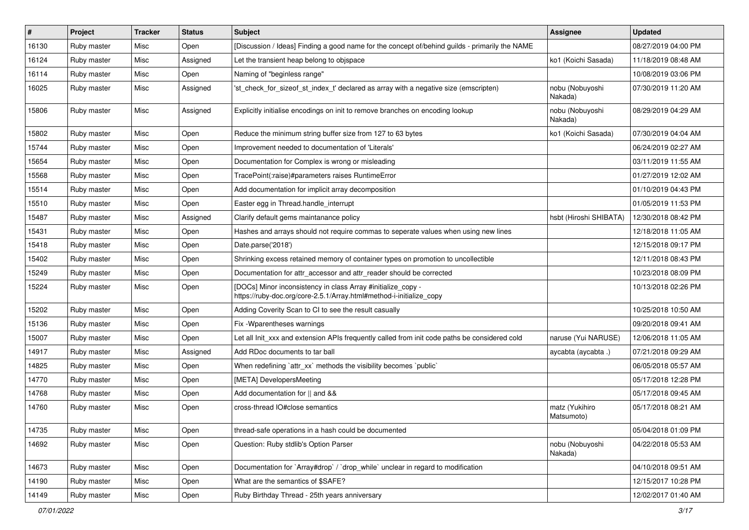| $\vert$ # | Project     | <b>Tracker</b> | <b>Status</b> | <b>Subject</b>                                                                                                                      | <b>Assignee</b>              | <b>Updated</b>      |
|-----------|-------------|----------------|---------------|-------------------------------------------------------------------------------------------------------------------------------------|------------------------------|---------------------|
| 16130     | Ruby master | Misc           | Open          | [Discussion / Ideas] Finding a good name for the concept of/behind guilds - primarily the NAME                                      |                              | 08/27/2019 04:00 PM |
| 16124     | Ruby master | Misc           | Assigned      | Let the transient heap belong to objspace                                                                                           | ko1 (Koichi Sasada)          | 11/18/2019 08:48 AM |
| 16114     | Ruby master | Misc           | Open          | Naming of "beginless range"                                                                                                         |                              | 10/08/2019 03:06 PM |
| 16025     | Ruby master | Misc           | Assigned      | 'st_check_for_sizeof_st_index_t' declared as array with a negative size (emscripten)                                                | nobu (Nobuyoshi<br>Nakada)   | 07/30/2019 11:20 AM |
| 15806     | Ruby master | Misc           | Assigned      | Explicitly initialise encodings on init to remove branches on encoding lookup                                                       | nobu (Nobuyoshi<br>Nakada)   | 08/29/2019 04:29 AM |
| 15802     | Ruby master | Misc           | Open          | Reduce the minimum string buffer size from 127 to 63 bytes                                                                          | ko1 (Koichi Sasada)          | 07/30/2019 04:04 AM |
| 15744     | Ruby master | Misc           | Open          | Improvement needed to documentation of 'Literals'                                                                                   |                              | 06/24/2019 02:27 AM |
| 15654     | Ruby master | Misc           | Open          | Documentation for Complex is wrong or misleading                                                                                    |                              | 03/11/2019 11:55 AM |
| 15568     | Ruby master | Misc           | Open          | TracePoint(:raise)#parameters raises RuntimeError                                                                                   |                              | 01/27/2019 12:02 AM |
| 15514     | Ruby master | Misc           | Open          | Add documentation for implicit array decomposition                                                                                  |                              | 01/10/2019 04:43 PM |
| 15510     | Ruby master | Misc           | Open          | Easter egg in Thread.handle_interrupt                                                                                               |                              | 01/05/2019 11:53 PM |
| 15487     | Ruby master | Misc           | Assigned      | Clarify default gems maintanance policy                                                                                             | hsbt (Hiroshi SHIBATA)       | 12/30/2018 08:42 PM |
| 15431     | Ruby master | Misc           | Open          | Hashes and arrays should not require commas to seperate values when using new lines                                                 |                              | 12/18/2018 11:05 AM |
| 15418     | Ruby master | Misc           | Open          | Date.parse('2018')                                                                                                                  |                              | 12/15/2018 09:17 PM |
| 15402     | Ruby master | Misc           | Open          | Shrinking excess retained memory of container types on promotion to uncollectible                                                   |                              | 12/11/2018 08:43 PM |
| 15249     | Ruby master | Misc           | Open          | Documentation for attr_accessor and attr_reader should be corrected                                                                 |                              | 10/23/2018 08:09 PM |
| 15224     | Ruby master | Misc           | Open          | [DOCs] Minor inconsistency in class Array #initialize_copy -<br>https://ruby-doc.org/core-2.5.1/Array.html#method-i-initialize_copy |                              | 10/13/2018 02:26 PM |
| 15202     | Ruby master | Misc           | Open          | Adding Coverity Scan to CI to see the result casually                                                                               |                              | 10/25/2018 10:50 AM |
| 15136     | Ruby master | Misc           | Open          | Fix - Wparentheses warnings                                                                                                         |                              | 09/20/2018 09:41 AM |
| 15007     | Ruby master | Misc           | Open          | Let all Init_xxx and extension APIs frequently called from init code paths be considered cold                                       | naruse (Yui NARUSE)          | 12/06/2018 11:05 AM |
| 14917     | Ruby master | Misc           | Assigned      | Add RDoc documents to tar ball                                                                                                      | aycabta (aycabta.)           | 07/21/2018 09:29 AM |
| 14825     | Ruby master | Misc           | Open          | When redefining `attr_xx` methods the visibility becomes `public`                                                                   |                              | 06/05/2018 05:57 AM |
| 14770     | Ruby master | Misc           | Open          | [META] DevelopersMeeting                                                                                                            |                              | 05/17/2018 12:28 PM |
| 14768     | Ruby master | Misc           | Open          | Add documentation for    and &&                                                                                                     |                              | 05/17/2018 09:45 AM |
| 14760     | Ruby master | Misc           | Open          | cross-thread IO#close semantics                                                                                                     | matz (Yukihiro<br>Matsumoto) | 05/17/2018 08:21 AM |
| 14735     | Ruby master | Misc           | Open          | thread-safe operations in a hash could be documented                                                                                |                              | 05/04/2018 01:09 PM |
| 14692     | Ruby master | Misc           | Open          | Question: Ruby stdlib's Option Parser                                                                                               | nobu (Nobuyoshi<br>Nakada)   | 04/22/2018 05:53 AM |
| 14673     | Ruby master | Misc           | Open          | Documentation for `Array#drop` / `drop_while` unclear in regard to modification                                                     |                              | 04/10/2018 09:51 AM |
| 14190     | Ruby master | Misc           | Open          | What are the semantics of \$SAFE?                                                                                                   |                              | 12/15/2017 10:28 PM |
| 14149     | Ruby master | Misc           | Open          | Ruby Birthday Thread - 25th years anniversary                                                                                       |                              | 12/02/2017 01:40 AM |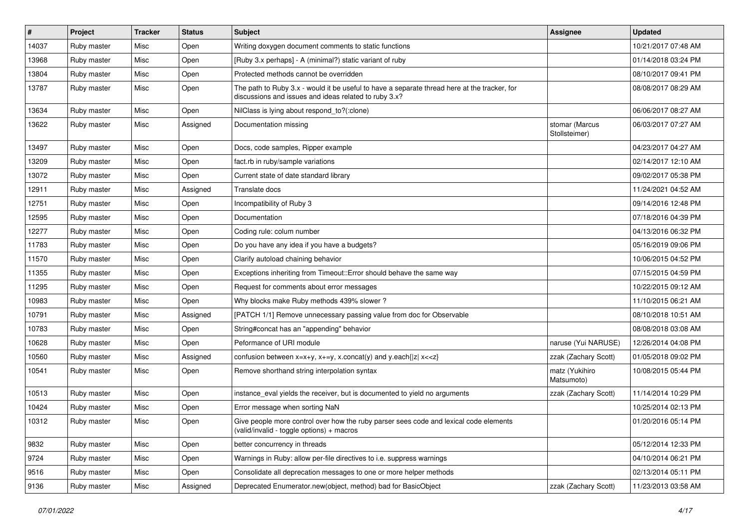| $\vert$ # | Project     | <b>Tracker</b> | <b>Status</b> | Subject                                                                                                                                               | <b>Assignee</b>                 | <b>Updated</b>      |
|-----------|-------------|----------------|---------------|-------------------------------------------------------------------------------------------------------------------------------------------------------|---------------------------------|---------------------|
| 14037     | Ruby master | Misc           | Open          | Writing doxygen document comments to static functions                                                                                                 |                                 | 10/21/2017 07:48 AM |
| 13968     | Ruby master | Misc           | Open          | [Ruby 3.x perhaps] - A (minimal?) static variant of ruby                                                                                              |                                 | 01/14/2018 03:24 PM |
| 13804     | Ruby master | Misc           | Open          | Protected methods cannot be overridden                                                                                                                |                                 | 08/10/2017 09:41 PM |
| 13787     | Ruby master | Misc           | Open          | The path to Ruby 3.x - would it be useful to have a separate thread here at the tracker, for<br>discussions and issues and ideas related to ruby 3.x? |                                 | 08/08/2017 08:29 AM |
| 13634     | Ruby master | Misc           | Open          | NilClass is lying about respond_to?(:clone)                                                                                                           |                                 | 06/06/2017 08:27 AM |
| 13622     | Ruby master | Misc           | Assigned      | Documentation missing                                                                                                                                 | stomar (Marcus<br>Stollsteimer) | 06/03/2017 07:27 AM |
| 13497     | Ruby master | Misc           | Open          | Docs, code samples, Ripper example                                                                                                                    |                                 | 04/23/2017 04:27 AM |
| 13209     | Ruby master | Misc           | Open          | fact.rb in ruby/sample variations                                                                                                                     |                                 | 02/14/2017 12:10 AM |
| 13072     | Ruby master | Misc           | Open          | Current state of date standard library                                                                                                                |                                 | 09/02/2017 05:38 PM |
| 12911     | Ruby master | Misc           | Assigned      | Translate docs                                                                                                                                        |                                 | 11/24/2021 04:52 AM |
| 12751     | Ruby master | Misc           | Open          | Incompatibility of Ruby 3                                                                                                                             |                                 | 09/14/2016 12:48 PM |
| 12595     | Ruby master | Misc           | Open          | Documentation                                                                                                                                         |                                 | 07/18/2016 04:39 PM |
| 12277     | Ruby master | Misc           | Open          | Coding rule: colum number                                                                                                                             |                                 | 04/13/2016 06:32 PM |
| 11783     | Ruby master | Misc           | Open          | Do you have any idea if you have a budgets?                                                                                                           |                                 | 05/16/2019 09:06 PM |
| 11570     | Ruby master | Misc           | Open          | Clarify autoload chaining behavior                                                                                                                    |                                 | 10/06/2015 04:52 PM |
| 11355     | Ruby master | Misc           | Open          | Exceptions inheriting from Timeout:: Error should behave the same way                                                                                 |                                 | 07/15/2015 04:59 PM |
| 11295     | Ruby master | Misc           | Open          | Request for comments about error messages                                                                                                             |                                 | 10/22/2015 09:12 AM |
| 10983     | Ruby master | Misc           | Open          | Why blocks make Ruby methods 439% slower?                                                                                                             |                                 | 11/10/2015 06:21 AM |
| 10791     | Ruby master | Misc           | Assigned      | [PATCH 1/1] Remove unnecessary passing value from doc for Observable                                                                                  |                                 | 08/10/2018 10:51 AM |
| 10783     | Ruby master | Misc           | Open          | String#concat has an "appending" behavior                                                                                                             |                                 | 08/08/2018 03:08 AM |
| 10628     | Ruby master | Misc           | Open          | Peformance of URI module                                                                                                                              | naruse (Yui NARUSE)             | 12/26/2014 04:08 PM |
| 10560     | Ruby master | Misc           | Assigned      | confusion between $x=x+y$ , $x+=y$ , x.concat(y) and y.each{ z  $x<}$                                                                                 | zzak (Zachary Scott)            | 01/05/2018 09:02 PM |
| 10541     | Ruby master | Misc           | Open          | Remove shorthand string interpolation syntax                                                                                                          | matz (Yukihiro<br>Matsumoto)    | 10/08/2015 05:44 PM |
| 10513     | Ruby master | Misc           | Open          | instance_eval yields the receiver, but is documented to yield no arguments                                                                            | zzak (Zachary Scott)            | 11/14/2014 10:29 PM |
| 10424     | Ruby master | Misc           | Open          | Error message when sorting NaN                                                                                                                        |                                 | 10/25/2014 02:13 PM |
| 10312     | Ruby master | Misc           | Open          | Give people more control over how the ruby parser sees code and lexical code elements<br>(valid/invalid - toggle options) + macros                    |                                 | 01/20/2016 05:14 PM |
| 9832      | Ruby master | Misc           | Open          | better concurrency in threads                                                                                                                         |                                 | 05/12/2014 12:33 PM |
| 9724      | Ruby master | Misc           | Open          | Warnings in Ruby: allow per-file directives to i.e. suppress warnings                                                                                 |                                 | 04/10/2014 06:21 PM |
| 9516      | Ruby master | Misc           | Open          | Consolidate all deprecation messages to one or more helper methods                                                                                    |                                 | 02/13/2014 05:11 PM |
| 9136      | Ruby master | Misc           | Assigned      | Deprecated Enumerator.new(object, method) bad for BasicObject                                                                                         | zzak (Zachary Scott)            | 11/23/2013 03:58 AM |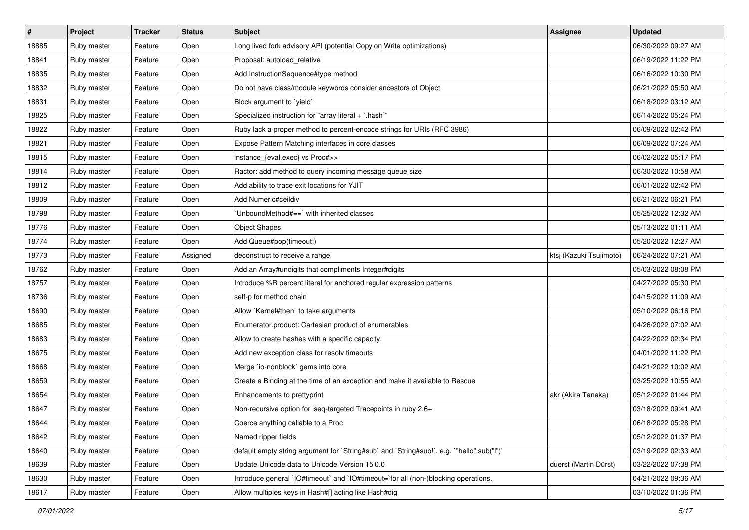| $\vert$ # | Project     | <b>Tracker</b> | <b>Status</b> | Subject                                                                                   | Assignee                | <b>Updated</b>      |
|-----------|-------------|----------------|---------------|-------------------------------------------------------------------------------------------|-------------------------|---------------------|
| 18885     | Ruby master | Feature        | Open          | Long lived fork advisory API (potential Copy on Write optimizations)                      |                         | 06/30/2022 09:27 AM |
| 18841     | Ruby master | Feature        | Open          | Proposal: autoload_relative                                                               |                         | 06/19/2022 11:22 PM |
| 18835     | Ruby master | Feature        | Open          | Add InstructionSequence#type method                                                       |                         | 06/16/2022 10:30 PM |
| 18832     | Ruby master | Feature        | Open          | Do not have class/module keywords consider ancestors of Object                            |                         | 06/21/2022 05:50 AM |
| 18831     | Ruby master | Feature        | Open          | Block argument to `yield`                                                                 |                         | 06/18/2022 03:12 AM |
| 18825     | Ruby master | Feature        | Open          | Specialized instruction for "array literal + `.hash`"                                     |                         | 06/14/2022 05:24 PM |
| 18822     | Ruby master | Feature        | Open          | Ruby lack a proper method to percent-encode strings for URIs (RFC 3986)                   |                         | 06/09/2022 02:42 PM |
| 18821     | Ruby master | Feature        | Open          | Expose Pattern Matching interfaces in core classes                                        |                         | 06/09/2022 07:24 AM |
| 18815     | Ruby master | Feature        | Open          | instance_{eval,exec} vs Proc#>>                                                           |                         | 06/02/2022 05:17 PM |
| 18814     | Ruby master | Feature        | Open          | Ractor: add method to query incoming message queue size                                   |                         | 06/30/2022 10:58 AM |
| 18812     | Ruby master | Feature        | Open          | Add ability to trace exit locations for YJIT                                              |                         | 06/01/2022 02:42 PM |
| 18809     | Ruby master | Feature        | Open          | Add Numeric#ceildiv                                                                       |                         | 06/21/2022 06:21 PM |
| 18798     | Ruby master | Feature        | Open          | UnboundMethod#==`with inherited classes                                                   |                         | 05/25/2022 12:32 AM |
| 18776     | Ruby master | Feature        | Open          | <b>Object Shapes</b>                                                                      |                         | 05/13/2022 01:11 AM |
| 18774     | Ruby master | Feature        | Open          | Add Queue#pop(timeout:)                                                                   |                         | 05/20/2022 12:27 AM |
| 18773     | Ruby master | Feature        | Assigned      | deconstruct to receive a range                                                            | ktsj (Kazuki Tsujimoto) | 06/24/2022 07:21 AM |
| 18762     | Ruby master | Feature        | Open          | Add an Array#undigits that compliments Integer#digits                                     |                         | 05/03/2022 08:08 PM |
| 18757     | Ruby master | Feature        | Open          | Introduce %R percent literal for anchored regular expression patterns                     |                         | 04/27/2022 05:30 PM |
| 18736     | Ruby master | Feature        | Open          | self-p for method chain                                                                   |                         | 04/15/2022 11:09 AM |
| 18690     | Ruby master | Feature        | Open          | Allow `Kernel#then` to take arguments                                                     |                         | 05/10/2022 06:16 PM |
| 18685     | Ruby master | Feature        | Open          | Enumerator.product: Cartesian product of enumerables                                      |                         | 04/26/2022 07:02 AM |
| 18683     | Ruby master | Feature        | Open          | Allow to create hashes with a specific capacity.                                          |                         | 04/22/2022 02:34 PM |
| 18675     | Ruby master | Feature        | Open          | Add new exception class for resolv timeouts                                               |                         | 04/01/2022 11:22 PM |
| 18668     | Ruby master | Feature        | Open          | Merge `io-nonblock` gems into core                                                        |                         | 04/21/2022 10:02 AM |
| 18659     | Ruby master | Feature        | Open          | Create a Binding at the time of an exception and make it available to Rescue              |                         | 03/25/2022 10:55 AM |
| 18654     | Ruby master | Feature        | Open          | Enhancements to prettyprint                                                               | akr (Akira Tanaka)      | 05/12/2022 01:44 PM |
| 18647     | Ruby master | Feature        | Open          | Non-recursive option for iseq-targeted Tracepoints in ruby 2.6+                           |                         | 03/18/2022 09:41 AM |
| 18644     | Ruby master | Feature        | Open          | Coerce anything callable to a Proc                                                        |                         | 06/18/2022 05:28 PM |
| 18642     | Ruby master | Feature        | Open          | Named ripper fields                                                                       |                         | 05/12/2022 01:37 PM |
| 18640     | Ruby master | Feature        | Open          | default empty string argument for `String#sub` and `String#sub!`, e.g. `"hello".sub("I")` |                         | 03/19/2022 02:33 AM |
| 18639     | Ruby master | Feature        | Open          | Update Unicode data to Unicode Version 15.0.0                                             | duerst (Martin Dürst)   | 03/22/2022 07:38 PM |
| 18630     | Ruby master | Feature        | Open          | Introduce general `IO#timeout` and `IO#timeout=`for all (non-)blocking operations.        |                         | 04/21/2022 09:36 AM |
| 18617     | Ruby master | Feature        | Open          | Allow multiples keys in Hash#[] acting like Hash#dig                                      |                         | 03/10/2022 01:36 PM |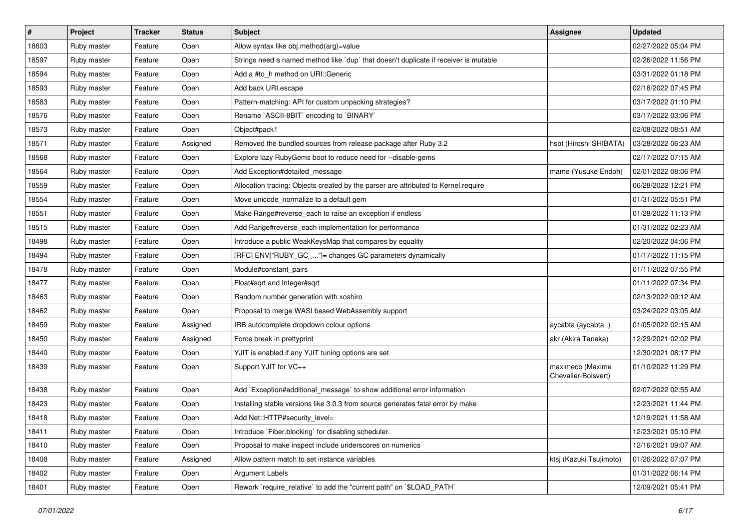| $\sharp$ | <b>Project</b> | <b>Tracker</b> | <b>Status</b> | Subject                                                                              | <b>Assignee</b>                         | <b>Updated</b>      |
|----------|----------------|----------------|---------------|--------------------------------------------------------------------------------------|-----------------------------------------|---------------------|
| 18603    | Ruby master    | Feature        | Open          | Allow syntax like obj.method(arg)=value                                              |                                         | 02/27/2022 05:04 PM |
| 18597    | Ruby master    | Feature        | Open          | Strings need a named method like `dup` that doesn't duplicate if receiver is mutable |                                         | 02/26/2022 11:56 PM |
| 18594    | Ruby master    | Feature        | Open          | Add a #to h method on URI::Generic                                                   |                                         | 03/31/2022 01:18 PM |
| 18593    | Ruby master    | Feature        | Open          | Add back URI.escape                                                                  |                                         | 02/18/2022 07:45 PM |
| 18583    | Ruby master    | Feature        | Open          | Pattern-matching: API for custom unpacking strategies?                               |                                         | 03/17/2022 01:10 PM |
| 18576    | Ruby master    | Feature        | Open          | Rename `ASCII-8BIT` encoding to `BINARY`                                             |                                         | 03/17/2022 03:06 PM |
| 18573    | Ruby master    | Feature        | Open          | Object#pack1                                                                         |                                         | 02/08/2022 08:51 AM |
| 18571    | Ruby master    | Feature        | Assigned      | Removed the bundled sources from release package after Ruby 3.2                      | hsbt (Hiroshi SHIBATA)                  | 03/28/2022 06:23 AM |
| 18568    | Ruby master    | Feature        | Open          | Explore lazy RubyGems boot to reduce need for --disable-gems                         |                                         | 02/17/2022 07:15 AM |
| 18564    | Ruby master    | Feature        | Open          | Add Exception#detailed_message                                                       | mame (Yusuke Endoh)                     | 02/01/2022 08:06 PM |
| 18559    | Ruby master    | Feature        | Open          | Allocation tracing: Objects created by the parser are attributed to Kernel.require   |                                         | 06/28/2022 12:21 PM |
| 18554    | Ruby master    | Feature        | Open          | Move unicode_normalize to a default gem                                              |                                         | 01/31/2022 05:51 PM |
| 18551    | Ruby master    | Feature        | Open          | Make Range#reverse each to raise an exception if endless                             |                                         | 01/28/2022 11:13 PM |
| 18515    | Ruby master    | Feature        | Open          | Add Range#reverse_each implementation for performance                                |                                         | 01/31/2022 02:23 AM |
| 18498    | Ruby master    | Feature        | Open          | Introduce a public WeakKeysMap that compares by equality                             |                                         | 02/20/2022 04:06 PM |
| 18494    | Ruby master    | Feature        | Open          | [RFC] ENV["RUBY_GC_"]= changes GC parameters dynamically                             |                                         | 01/17/2022 11:15 PM |
| 18478    | Ruby master    | Feature        | Open          | Module#constant_pairs                                                                |                                         | 01/11/2022 07:55 PM |
| 18477    | Ruby master    | Feature        | Open          | Float#sqrt and Integer#sqrt                                                          |                                         | 01/11/2022 07:34 PM |
| 18463    | Ruby master    | Feature        | Open          | Random number generation with xoshiro                                                |                                         | 02/13/2022 09:12 AM |
| 18462    | Ruby master    | Feature        | Open          | Proposal to merge WASI based WebAssembly support                                     |                                         | 03/24/2022 03:05 AM |
| 18459    | Ruby master    | Feature        | Assigned      | IRB autocomplete dropdown colour options                                             | aycabta (aycabta.)                      | 01/05/2022 02:15 AM |
| 18450    | Ruby master    | Feature        | Assigned      | Force break in prettyprint                                                           | akr (Akira Tanaka)                      | 12/29/2021 02:02 PM |
| 18440    | Ruby master    | Feature        | Open          | YJIT is enabled if any YJIT tuning options are set                                   |                                         | 12/30/2021 08:17 PM |
| 18439    | Ruby master    | Feature        | Open          | Support YJIT for VC++                                                                | maximecb (Maxime<br>Chevalier-Boisvert) | 01/10/2022 11:29 PM |
| 18438    | Ruby master    | Feature        | Open          | Add `Exception#additional_message` to show additional error information              |                                         | 02/07/2022 02:55 AM |
| 18423    | Ruby master    | Feature        | Open          | Installing stable versions like 3.0.3 from source generates fatal error by make      |                                         | 12/23/2021 11:44 PM |
| 18418    | Ruby master    | Feature        | Open          | Add Net::HTTP#security_level=                                                        |                                         | 12/19/2021 11:58 AM |
| 18411    | Ruby master    | Feature        | Open          | Introduce `Fiber.blocking` for disabling scheduler.                                  |                                         | 12/23/2021 05:10 PM |
| 18410    | Ruby master    | Feature        | Open          | Proposal to make inspect include underscores on numerics                             |                                         | 12/16/2021 09:07 AM |
| 18408    | Ruby master    | Feature        | Assigned      | Allow pattern match to set instance variables                                        | ktsi (Kazuki Tsujimoto)                 | 01/26/2022 07:07 PM |
| 18402    | Ruby master    | Feature        | Open          | <b>Argument Labels</b>                                                               |                                         | 01/31/2022 06:14 PM |
| 18401    | Ruby master    | Feature        | Open          | Rework `require_relative` to add the "current path" on `\$LOAD_PATH`                 |                                         | 12/09/2021 05:41 PM |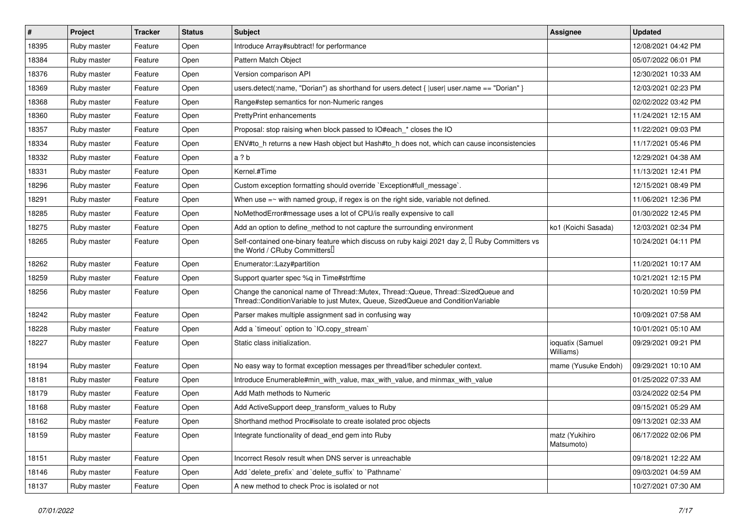| $\vert$ # | Project     | <b>Tracker</b> | <b>Status</b> | <b>Subject</b>                                                                                                                                                        | Assignee                      | <b>Updated</b>      |
|-----------|-------------|----------------|---------------|-----------------------------------------------------------------------------------------------------------------------------------------------------------------------|-------------------------------|---------------------|
| 18395     | Ruby master | Feature        | Open          | Introduce Array#subtract! for performance                                                                                                                             |                               | 12/08/2021 04:42 PM |
| 18384     | Ruby master | Feature        | Open          | Pattern Match Object                                                                                                                                                  |                               | 05/07/2022 06:01 PM |
| 18376     | Ruby master | Feature        | Open          | Version comparison API                                                                                                                                                |                               | 12/30/2021 10:33 AM |
| 18369     | Ruby master | Feature        | Open          | users.detect(:name, "Dorian") as shorthand for users.detect {  user  user.name == "Dorian" }                                                                          |                               | 12/03/2021 02:23 PM |
| 18368     | Ruby master | Feature        | Open          | Range#step semantics for non-Numeric ranges                                                                                                                           |                               | 02/02/2022 03:42 PM |
| 18360     | Ruby master | Feature        | Open          | <b>PrettyPrint enhancements</b>                                                                                                                                       |                               | 11/24/2021 12:15 AM |
| 18357     | Ruby master | Feature        | Open          | Proposal: stop raising when block passed to IO#each_* closes the IO                                                                                                   |                               | 11/22/2021 09:03 PM |
| 18334     | Ruby master | Feature        | Open          | ENV#to_h returns a new Hash object but Hash#to_h does not, which can cause inconsistencies                                                                            |                               | 11/17/2021 05:46 PM |
| 18332     | Ruby master | Feature        | Open          | a ? b                                                                                                                                                                 |                               | 12/29/2021 04:38 AM |
| 18331     | Ruby master | Feature        | Open          | Kernel.#Time                                                                                                                                                          |                               | 11/13/2021 12:41 PM |
| 18296     | Ruby master | Feature        | Open          | Custom exception formatting should override `Exception#full_message`.                                                                                                 |                               | 12/15/2021 08:49 PM |
| 18291     | Ruby master | Feature        | Open          | When use $=$ with named group, if regex is on the right side, variable not defined.                                                                                   |                               | 11/06/2021 12:36 PM |
| 18285     | Ruby master | Feature        | Open          | NoMethodError#message uses a lot of CPU/is really expensive to call                                                                                                   |                               | 01/30/2022 12:45 PM |
| 18275     | Ruby master | Feature        | Open          | Add an option to define_method to not capture the surrounding environment                                                                                             | ko1 (Koichi Sasada)           | 12/03/2021 02:34 PM |
| 18265     | Ruby master | Feature        | Open          | Self-contained one-binary feature which discuss on ruby kaigi 2021 day 2, $\mathbb I$ Ruby Committers vs<br>the World / CRuby Committers                              |                               | 10/24/2021 04:11 PM |
| 18262     | Ruby master | Feature        | Open          | Enumerator::Lazy#partition                                                                                                                                            |                               | 11/20/2021 10:17 AM |
| 18259     | Ruby master | Feature        | Open          | Support quarter spec %q in Time#strftime                                                                                                                              |                               | 10/21/2021 12:15 PM |
| 18256     | Ruby master | Feature        | Open          | Change the canonical name of Thread::Mutex, Thread::Queue, Thread::SizedQueue and<br>Thread::ConditionVariable to just Mutex, Queue, SizedQueue and ConditionVariable |                               | 10/20/2021 10:59 PM |
| 18242     | Ruby master | Feature        | Open          | Parser makes multiple assignment sad in confusing way                                                                                                                 |                               | 10/09/2021 07:58 AM |
| 18228     | Ruby master | Feature        | Open          | Add a 'timeout' option to 'IO.copy_stream'                                                                                                                            |                               | 10/01/2021 05:10 AM |
| 18227     | Ruby master | Feature        | Open          | Static class initialization.                                                                                                                                          | ioquatix (Samuel<br>Williams) | 09/29/2021 09:21 PM |
| 18194     | Ruby master | Feature        | Open          | No easy way to format exception messages per thread/fiber scheduler context.                                                                                          | mame (Yusuke Endoh)           | 09/29/2021 10:10 AM |
| 18181     | Ruby master | Feature        | Open          | Introduce Enumerable#min_with_value, max_with_value, and minmax_with_value                                                                                            |                               | 01/25/2022 07:33 AM |
| 18179     | Ruby master | Feature        | Open          | Add Math methods to Numeric                                                                                                                                           |                               | 03/24/2022 02:54 PM |
| 18168     | Ruby master | Feature        | Open          | Add ActiveSupport deep_transform_values to Ruby                                                                                                                       |                               | 09/15/2021 05:29 AM |
| 18162     | Ruby master | Feature        | Open          | Shorthand method Proc#isolate to create isolated proc objects                                                                                                         |                               | 09/13/2021 02:33 AM |
| 18159     | Ruby master | Feature        | Open          | Integrate functionality of dead end gem into Ruby                                                                                                                     | matz (Yukihiro<br>Matsumoto)  | 06/17/2022 02:06 PM |
| 18151     | Ruby master | Feature        | Open          | Incorrect Resolv result when DNS server is unreachable                                                                                                                |                               | 09/18/2021 12:22 AM |
| 18146     | Ruby master | Feature        | Open          | Add 'delete prefix' and 'delete suffix' to 'Pathname'                                                                                                                 |                               | 09/03/2021 04:59 AM |
| 18137     | Ruby master | Feature        | Open          | A new method to check Proc is isolated or not                                                                                                                         |                               | 10/27/2021 07:30 AM |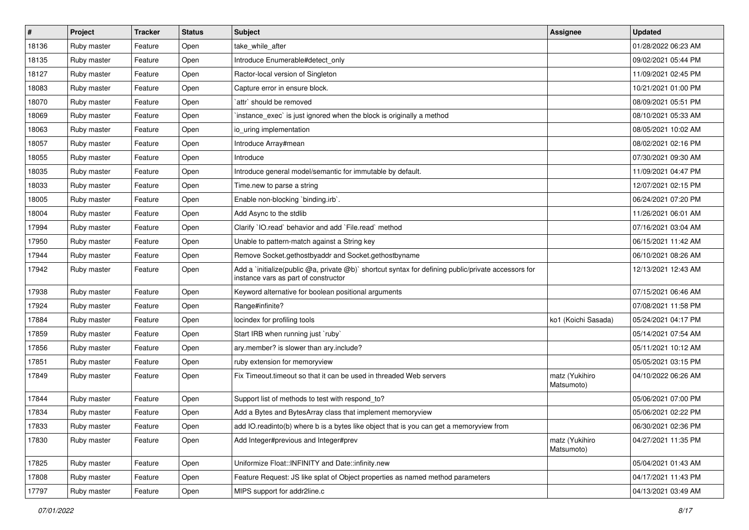| $\vert$ # | Project     | <b>Tracker</b> | <b>Status</b> | Subject                                                                                                                                     | Assignee                     | <b>Updated</b>      |
|-----------|-------------|----------------|---------------|---------------------------------------------------------------------------------------------------------------------------------------------|------------------------------|---------------------|
| 18136     | Ruby master | Feature        | Open          | take_while_after                                                                                                                            |                              | 01/28/2022 06:23 AM |
| 18135     | Ruby master | Feature        | Open          | Introduce Enumerable#detect_only                                                                                                            |                              | 09/02/2021 05:44 PM |
| 18127     | Ruby master | Feature        | Open          | Ractor-local version of Singleton                                                                                                           |                              | 11/09/2021 02:45 PM |
| 18083     | Ruby master | Feature        | Open          | Capture error in ensure block.                                                                                                              |                              | 10/21/2021 01:00 PM |
| 18070     | Ruby master | Feature        | Open          | `attr` should be removed                                                                                                                    |                              | 08/09/2021 05:51 PM |
| 18069     | Ruby master | Feature        | Open          | 'instance_exec' is just ignored when the block is originally a method                                                                       |                              | 08/10/2021 05:33 AM |
| 18063     | Ruby master | Feature        | Open          | io uring implementation                                                                                                                     |                              | 08/05/2021 10:02 AM |
| 18057     | Ruby master | Feature        | Open          | Introduce Array#mean                                                                                                                        |                              | 08/02/2021 02:16 PM |
| 18055     | Ruby master | Feature        | Open          | Introduce                                                                                                                                   |                              | 07/30/2021 09:30 AM |
| 18035     | Ruby master | Feature        | Open          | Introduce general model/semantic for immutable by default.                                                                                  |                              | 11/09/2021 04:47 PM |
| 18033     | Ruby master | Feature        | Open          | Time.new to parse a string                                                                                                                  |                              | 12/07/2021 02:15 PM |
| 18005     | Ruby master | Feature        | Open          | Enable non-blocking 'binding.irb'.                                                                                                          |                              | 06/24/2021 07:20 PM |
| 18004     | Ruby master | Feature        | Open          | Add Async to the stdlib                                                                                                                     |                              | 11/26/2021 06:01 AM |
| 17994     | Ruby master | Feature        | Open          | Clarify 'IO.read' behavior and add 'File.read' method                                                                                       |                              | 07/16/2021 03:04 AM |
| 17950     | Ruby master | Feature        | Open          | Unable to pattern-match against a String key                                                                                                |                              | 06/15/2021 11:42 AM |
| 17944     | Ruby master | Feature        | Open          | Remove Socket.gethostbyaddr and Socket.gethostbyname                                                                                        |                              | 06/10/2021 08:26 AM |
| 17942     | Ruby master | Feature        | Open          | Add a `initialize(public @a, private @b)` shortcut syntax for defining public/private accessors for<br>instance vars as part of constructor |                              | 12/13/2021 12:43 AM |
| 17938     | Ruby master | Feature        | Open          | Keyword alternative for boolean positional arguments                                                                                        |                              | 07/15/2021 06:46 AM |
| 17924     | Ruby master | Feature        | Open          | Range#infinite?                                                                                                                             |                              | 07/08/2021 11:58 PM |
| 17884     | Ruby master | Feature        | Open          | locindex for profiling tools                                                                                                                | ko1 (Koichi Sasada)          | 05/24/2021 04:17 PM |
| 17859     | Ruby master | Feature        | Open          | Start IRB when running just `ruby`                                                                                                          |                              | 05/14/2021 07:54 AM |
| 17856     | Ruby master | Feature        | Open          | ary.member? is slower than ary.include?                                                                                                     |                              | 05/11/2021 10:12 AM |
| 17851     | Ruby master | Feature        | Open          | ruby extension for memoryview                                                                                                               |                              | 05/05/2021 03:15 PM |
| 17849     | Ruby master | Feature        | Open          | Fix Timeout timeout so that it can be used in threaded Web servers                                                                          | matz (Yukihiro<br>Matsumoto) | 04/10/2022 06:26 AM |
| 17844     | Ruby master | Feature        | Open          | Support list of methods to test with respond_to?                                                                                            |                              | 05/06/2021 07:00 PM |
| 17834     | Ruby master | Feature        | Open          | Add a Bytes and BytesArray class that implement memoryview                                                                                  |                              | 05/06/2021 02:22 PM |
| 17833     | Ruby master | Feature        | Open          | add IO.readinto(b) where b is a bytes like object that is you can get a memoryview from                                                     |                              | 06/30/2021 02:36 PM |
| 17830     | Ruby master | Feature        | Open          | Add Integer#previous and Integer#prev                                                                                                       | matz (Yukihiro<br>Matsumoto) | 04/27/2021 11:35 PM |
| 17825     | Ruby master | Feature        | Open          | Uniformize Float::INFINITY and Date::infinity.new                                                                                           |                              | 05/04/2021 01:43 AM |
| 17808     | Ruby master | Feature        | Open          | Feature Request: JS like splat of Object properties as named method parameters                                                              |                              | 04/17/2021 11:43 PM |
| 17797     | Ruby master | Feature        | Open          | MIPS support for addr2line.c                                                                                                                |                              | 04/13/2021 03:49 AM |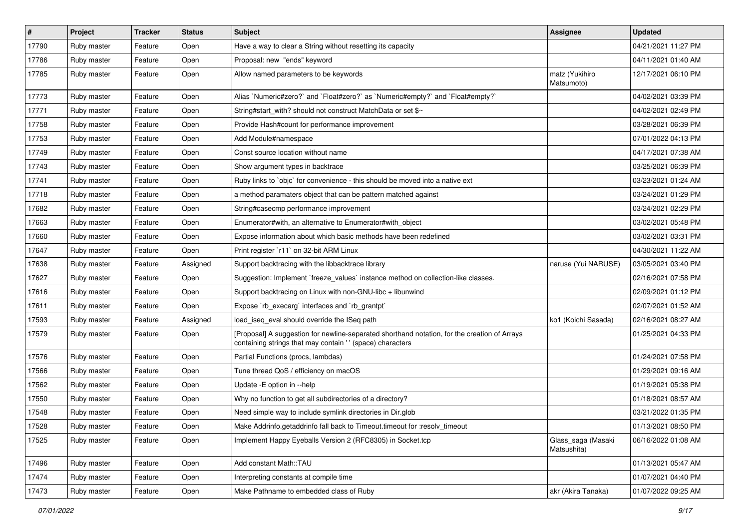| $\pmb{\#}$ | Project     | <b>Tracker</b> | <b>Status</b> | Subject                                                                                                                                                    | Assignee                          | <b>Updated</b>      |
|------------|-------------|----------------|---------------|------------------------------------------------------------------------------------------------------------------------------------------------------------|-----------------------------------|---------------------|
| 17790      | Ruby master | Feature        | Open          | Have a way to clear a String without resetting its capacity                                                                                                |                                   | 04/21/2021 11:27 PM |
| 17786      | Ruby master | Feature        | Open          | Proposal: new "ends" keyword                                                                                                                               |                                   | 04/11/2021 01:40 AM |
| 17785      | Ruby master | Feature        | Open          | Allow named parameters to be keywords                                                                                                                      | matz (Yukihiro<br>Matsumoto)      | 12/17/2021 06:10 PM |
| 17773      | Ruby master | Feature        | Open          | Alias `Numeric#zero?` and `Float#zero?` as `Numeric#empty?` and `Float#empty?`                                                                             |                                   | 04/02/2021 03:39 PM |
| 17771      | Ruby master | Feature        | Open          | String#start with? should not construct MatchData or set \$~                                                                                               |                                   | 04/02/2021 02:49 PM |
| 17758      | Ruby master | Feature        | Open          | Provide Hash#count for performance improvement                                                                                                             |                                   | 03/28/2021 06:39 PM |
| 17753      | Ruby master | Feature        | Open          | Add Module#namespace                                                                                                                                       |                                   | 07/01/2022 04:13 PM |
| 17749      | Ruby master | Feature        | Open          | Const source location without name                                                                                                                         |                                   | 04/17/2021 07:38 AM |
| 17743      | Ruby master | Feature        | Open          | Show argument types in backtrace                                                                                                                           |                                   | 03/25/2021 06:39 PM |
| 17741      | Ruby master | Feature        | Open          | Ruby links to `objc` for convenience - this should be moved into a native ext                                                                              |                                   | 03/23/2021 01:24 AM |
| 17718      | Ruby master | Feature        | Open          | a method paramaters object that can be pattern matched against                                                                                             |                                   | 03/24/2021 01:29 PM |
| 17682      | Ruby master | Feature        | Open          | String#casecmp performance improvement                                                                                                                     |                                   | 03/24/2021 02:29 PM |
| 17663      | Ruby master | Feature        | Open          | Enumerator#with, an alternative to Enumerator#with object                                                                                                  |                                   | 03/02/2021 05:48 PM |
| 17660      | Ruby master | Feature        | Open          | Expose information about which basic methods have been redefined                                                                                           |                                   | 03/02/2021 03:31 PM |
| 17647      | Ruby master | Feature        | Open          | Print register `r11` on 32-bit ARM Linux                                                                                                                   |                                   | 04/30/2021 11:22 AM |
| 17638      | Ruby master | Feature        | Assigned      | Support backtracing with the libbacktrace library                                                                                                          | naruse (Yui NARUSE)               | 03/05/2021 03:40 PM |
| 17627      | Ruby master | Feature        | Open          | Suggestion: Implement `freeze_values` instance method on collection-like classes.                                                                          |                                   | 02/16/2021 07:58 PM |
| 17616      | Ruby master | Feature        | Open          | Support backtracing on Linux with non-GNU-libc + libunwind                                                                                                 |                                   | 02/09/2021 01:12 PM |
| 17611      | Ruby master | Feature        | Open          | Expose `rb_execarg` interfaces and `rb_grantpt`                                                                                                            |                                   | 02/07/2021 01:52 AM |
| 17593      | Ruby master | Feature        | Assigned      | load_iseq_eval should override the ISeq path                                                                                                               | ko1 (Koichi Sasada)               | 02/16/2021 08:27 AM |
| 17579      | Ruby master | Feature        | Open          | [Proposal] A suggestion for newline-separated shorthand notation, for the creation of Arrays<br>containing strings that may contain ' ' (space) characters |                                   | 01/25/2021 04:33 PM |
| 17576      | Ruby master | Feature        | Open          | Partial Functions (procs, lambdas)                                                                                                                         |                                   | 01/24/2021 07:58 PM |
| 17566      | Ruby master | Feature        | Open          | Tune thread QoS / efficiency on macOS                                                                                                                      |                                   | 01/29/2021 09:16 AM |
| 17562      | Ruby master | Feature        | Open          | Update - E option in --help                                                                                                                                |                                   | 01/19/2021 05:38 PM |
| 17550      | Ruby master | Feature        | Open          | Why no function to get all subdirectories of a directory?                                                                                                  |                                   | 01/18/2021 08:57 AM |
| 17548      | Ruby master | Feature        | Open          | Need simple way to include symlink directories in Dir.glob                                                                                                 |                                   | 03/21/2022 01:35 PM |
| 17528      | Ruby master | Feature        | Open          | Make Addrinfo.getaddrinfo fall back to Timeout.timeout for :resolv_timeout                                                                                 |                                   | 01/13/2021 08:50 PM |
| 17525      | Ruby master | Feature        | Open          | Implement Happy Eyeballs Version 2 (RFC8305) in Socket.tcp                                                                                                 | Glass_saga (Masaki<br>Matsushita) | 06/16/2022 01:08 AM |
| 17496      | Ruby master | Feature        | Open          | Add constant Math::TAU                                                                                                                                     |                                   | 01/13/2021 05:47 AM |
| 17474      | Ruby master | Feature        | Open          | Interpreting constants at compile time                                                                                                                     |                                   | 01/07/2021 04:40 PM |
| 17473      | Ruby master | Feature        | Open          | Make Pathname to embedded class of Ruby                                                                                                                    | akr (Akira Tanaka)                | 01/07/2022 09:25 AM |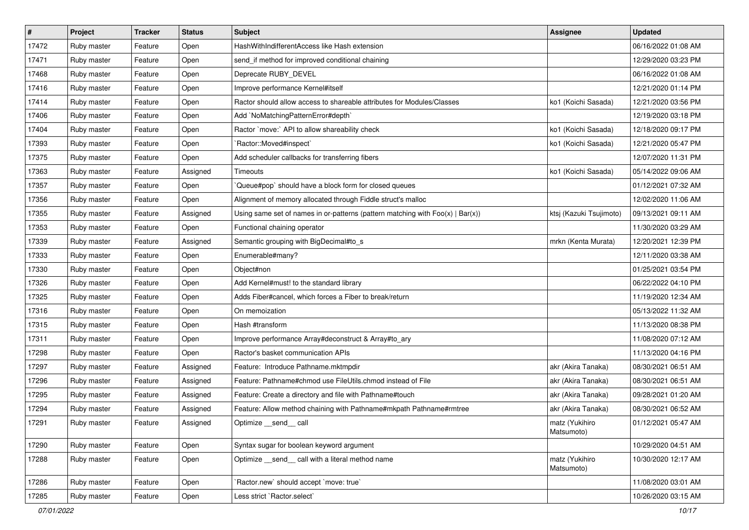| $\sharp$ | Project     | <b>Tracker</b> | <b>Status</b> | Subject                                                                           | <b>Assignee</b>              | <b>Updated</b>      |
|----------|-------------|----------------|---------------|-----------------------------------------------------------------------------------|------------------------------|---------------------|
| 17472    | Ruby master | Feature        | Open          | HashWithIndifferentAccess like Hash extension                                     |                              | 06/16/2022 01:08 AM |
| 17471    | Ruby master | Feature        | Open          | send if method for improved conditional chaining                                  |                              | 12/29/2020 03:23 PM |
| 17468    | Ruby master | Feature        | Open          | Deprecate RUBY_DEVEL                                                              |                              | 06/16/2022 01:08 AM |
| 17416    | Ruby master | Feature        | Open          | Improve performance Kernel#itself                                                 |                              | 12/21/2020 01:14 PM |
| 17414    | Ruby master | Feature        | Open          | Ractor should allow access to shareable attributes for Modules/Classes            | ko1 (Koichi Sasada)          | 12/21/2020 03:56 PM |
| 17406    | Ruby master | Feature        | Open          | Add `NoMatchingPatternError#depth`                                                |                              | 12/19/2020 03:18 PM |
| 17404    | Ruby master | Feature        | Open          | Ractor `move:` API to allow shareability check                                    | ko1 (Koichi Sasada)          | 12/18/2020 09:17 PM |
| 17393    | Ruby master | Feature        | Open          | `Ractor::Moved#inspect`                                                           | ko1 (Koichi Sasada)          | 12/21/2020 05:47 PM |
| 17375    | Ruby master | Feature        | Open          | Add scheduler callbacks for transferring fibers                                   |                              | 12/07/2020 11:31 PM |
| 17363    | Ruby master | Feature        | Assigned      | Timeouts                                                                          | ko1 (Koichi Sasada)          | 05/14/2022 09:06 AM |
| 17357    | Ruby master | Feature        | Open          | Queue#pop`should have a block form for closed queues                              |                              | 01/12/2021 07:32 AM |
| 17356    | Ruby master | Feature        | Open          | Alignment of memory allocated through Fiddle struct's malloc                      |                              | 12/02/2020 11:06 AM |
| 17355    | Ruby master | Feature        | Assigned      | Using same set of names in or-patterns (pattern matching with $Foo(x)   Bar(x)$ ) | ktsj (Kazuki Tsujimoto)      | 09/13/2021 09:11 AM |
| 17353    | Ruby master | Feature        | Open          | Functional chaining operator                                                      |                              | 11/30/2020 03:29 AM |
| 17339    | Ruby master | Feature        | Assigned      | Semantic grouping with BigDecimal#to_s                                            | mrkn (Kenta Murata)          | 12/20/2021 12:39 PM |
| 17333    | Ruby master | Feature        | Open          | Enumerable#many?                                                                  |                              | 12/11/2020 03:38 AM |
| 17330    | Ruby master | Feature        | Open          | Object#non                                                                        |                              | 01/25/2021 03:54 PM |
| 17326    | Ruby master | Feature        | Open          | Add Kernel#must! to the standard library                                          |                              | 06/22/2022 04:10 PM |
| 17325    | Ruby master | Feature        | Open          | Adds Fiber#cancel, which forces a Fiber to break/return                           |                              | 11/19/2020 12:34 AM |
| 17316    | Ruby master | Feature        | Open          | On memoization                                                                    |                              | 05/13/2022 11:32 AM |
| 17315    | Ruby master | Feature        | Open          | Hash #transform                                                                   |                              | 11/13/2020 08:38 PM |
| 17311    | Ruby master | Feature        | Open          | Improve performance Array#deconstruct & Array#to_ary                              |                              | 11/08/2020 07:12 AM |
| 17298    | Ruby master | Feature        | Open          | Ractor's basket communication APIs                                                |                              | 11/13/2020 04:16 PM |
| 17297    | Ruby master | Feature        | Assigned      | Feature: Introduce Pathname.mktmpdir                                              | akr (Akira Tanaka)           | 08/30/2021 06:51 AM |
| 17296    | Ruby master | Feature        | Assigned      | Feature: Pathname#chmod use FileUtils.chmod instead of File                       | akr (Akira Tanaka)           | 08/30/2021 06:51 AM |
| 17295    | Ruby master | Feature        | Assigned      | Feature: Create a directory and file with Pathname#touch                          | akr (Akira Tanaka)           | 09/28/2021 01:20 AM |
| 17294    | Ruby master | Feature        | Assigned      | Feature: Allow method chaining with Pathname#mkpath Pathname#rmtree               | akr (Akira Tanaka)           | 08/30/2021 06:52 AM |
| 17291    | Ruby master | Feature        | Assigned      | Optimize __send__ call                                                            | matz (Yukihiro<br>Matsumoto) | 01/12/2021 05:47 AM |
| 17290    | Ruby master | Feature        | Open          | Syntax sugar for boolean keyword argument                                         |                              | 10/29/2020 04:51 AM |
| 17288    | Ruby master | Feature        | Open          | Optimize __ send __ call with a literal method name                               | matz (Yukihiro<br>Matsumoto) | 10/30/2020 12:17 AM |
| 17286    | Ruby master | Feature        | Open          | 'Ractor.new' should accept 'move: true'                                           |                              | 11/08/2020 03:01 AM |
| 17285    | Ruby master | Feature        | Open          | Less strict `Ractor.select`                                                       |                              | 10/26/2020 03:15 AM |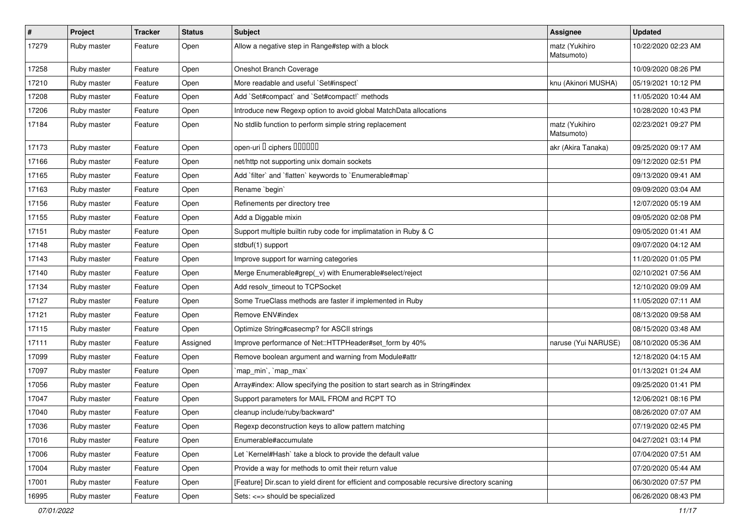| $\sharp$ | Project     | <b>Tracker</b> | <b>Status</b> | <b>Subject</b>                                                                              | <b>Assignee</b>              | <b>Updated</b>      |
|----------|-------------|----------------|---------------|---------------------------------------------------------------------------------------------|------------------------------|---------------------|
| 17279    | Ruby master | Feature        | Open          | Allow a negative step in Range#step with a block                                            | matz (Yukihiro<br>Matsumoto) | 10/22/2020 02:23 AM |
| 17258    | Ruby master | Feature        | Open          | Oneshot Branch Coverage                                                                     |                              | 10/09/2020 08:26 PM |
| 17210    | Ruby master | Feature        | Open          | More readable and useful `Set#inspect`                                                      | knu (Akinori MUSHA)          | 05/19/2021 10:12 PM |
| 17208    | Ruby master | Feature        | Open          | Add `Set#compact` and `Set#compact!` methods                                                |                              | 11/05/2020 10:44 AM |
| 17206    | Ruby master | Feature        | Open          | Introduce new Regexp option to avoid global MatchData allocations                           |                              | 10/28/2020 10:43 PM |
| 17184    | Ruby master | Feature        | Open          | No stdlib function to perform simple string replacement                                     | matz (Yukihiro<br>Matsumoto) | 02/23/2021 09:27 PM |
| 17173    | Ruby master | Feature        | Open          | open-uri I ciphers IIIIIII                                                                  | akr (Akira Tanaka)           | 09/25/2020 09:17 AM |
| 17166    | Ruby master | Feature        | Open          | net/http not supporting unix domain sockets                                                 |                              | 09/12/2020 02:51 PM |
| 17165    | Ruby master | Feature        | Open          | Add `filter` and `flatten` keywords to `Enumerable#map`                                     |                              | 09/13/2020 09:41 AM |
| 17163    | Ruby master | Feature        | Open          | Rename `begin`                                                                              |                              | 09/09/2020 03:04 AM |
| 17156    | Ruby master | Feature        | Open          | Refinements per directory tree                                                              |                              | 12/07/2020 05:19 AM |
| 17155    | Ruby master | Feature        | Open          | Add a Diggable mixin                                                                        |                              | 09/05/2020 02:08 PM |
| 17151    | Ruby master | Feature        | Open          | Support multiple builtin ruby code for implimatation in Ruby & C                            |                              | 09/05/2020 01:41 AM |
| 17148    | Ruby master | Feature        | Open          | stdbuf(1) support                                                                           |                              | 09/07/2020 04:12 AM |
| 17143    | Ruby master | Feature        | Open          | Improve support for warning categories                                                      |                              | 11/20/2020 01:05 PM |
| 17140    | Ruby master | Feature        | Open          | Merge Enumerable#grep(_v) with Enumerable#select/reject                                     |                              | 02/10/2021 07:56 AM |
| 17134    | Ruby master | Feature        | Open          | Add resolv_timeout to TCPSocket                                                             |                              | 12/10/2020 09:09 AM |
| 17127    | Ruby master | Feature        | Open          | Some TrueClass methods are faster if implemented in Ruby                                    |                              | 11/05/2020 07:11 AM |
| 17121    | Ruby master | Feature        | Open          | Remove ENV#index                                                                            |                              | 08/13/2020 09:58 AM |
| 17115    | Ruby master | Feature        | Open          | Optimize String#casecmp? for ASCII strings                                                  |                              | 08/15/2020 03:48 AM |
| 17111    | Ruby master | Feature        | Assigned      | Improve performance of Net::HTTPHeader#set_form by 40%                                      | naruse (Yui NARUSE)          | 08/10/2020 05:36 AM |
| 17099    | Ruby master | Feature        | Open          | Remove boolean argument and warning from Module#attr                                        |                              | 12/18/2020 04:15 AM |
| 17097    | Ruby master | Feature        | Open          | `map_min`, `map_max`                                                                        |                              | 01/13/2021 01:24 AM |
| 17056    | Ruby master | Feature        | Open          | Array#index: Allow specifying the position to start search as in String#index               |                              | 09/25/2020 01:41 PM |
| 17047    | Ruby master | Feature        | Open          | Support parameters for MAIL FROM and RCPT TO                                                |                              | 12/06/2021 08:16 PM |
| 17040    | Ruby master | Feature        | Open          | cleanup include/ruby/backward*                                                              |                              | 08/26/2020 07:07 AM |
| 17036    | Ruby master | Feature        | Open          | Regexp deconstruction keys to allow pattern matching                                        |                              | 07/19/2020 02:45 PM |
| 17016    | Ruby master | Feature        | Open          | Enumerable#accumulate                                                                       |                              | 04/27/2021 03:14 PM |
| 17006    | Ruby master | Feature        | Open          | Let `Kernel#Hash` take a block to provide the default value                                 |                              | 07/04/2020 07:51 AM |
| 17004    | Ruby master | Feature        | Open          | Provide a way for methods to omit their return value                                        |                              | 07/20/2020 05:44 AM |
| 17001    | Ruby master | Feature        | Open          | [Feature] Dir.scan to yield dirent for efficient and composable recursive directory scaning |                              | 06/30/2020 07:57 PM |
| 16995    | Ruby master | Feature        | Open          | Sets: <=> should be specialized                                                             |                              | 06/26/2020 08:43 PM |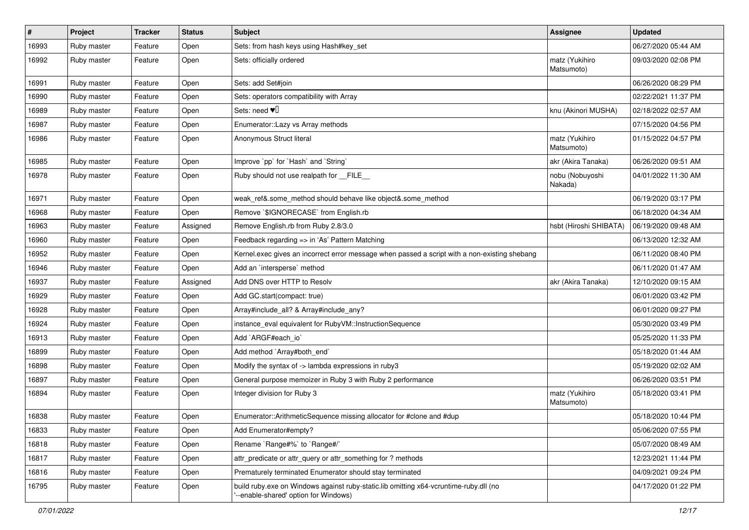| $\sharp$ | Project     | <b>Tracker</b> | <b>Status</b> | Subject                                                                                                                       | Assignee                     | <b>Updated</b>      |
|----------|-------------|----------------|---------------|-------------------------------------------------------------------------------------------------------------------------------|------------------------------|---------------------|
| 16993    | Ruby master | Feature        | Open          | Sets: from hash keys using Hash#key_set                                                                                       |                              | 06/27/2020 05:44 AM |
| 16992    | Ruby master | Feature        | Open          | Sets: officially ordered                                                                                                      | matz (Yukihiro<br>Matsumoto) | 09/03/2020 02:08 PM |
| 16991    | Ruby master | Feature        | Open          | Sets: add Set#join                                                                                                            |                              | 06/26/2020 08:29 PM |
| 16990    | Ruby master | Feature        | Open          | Sets: operators compatibility with Array                                                                                      |                              | 02/22/2021 11:37 PM |
| 16989    | Ruby master | Feature        | Open          | Sets: need $\Psi$                                                                                                             | knu (Akinori MUSHA)          | 02/18/2022 02:57 AM |
| 16987    | Ruby master | Feature        | Open          | Enumerator:: Lazy vs Array methods                                                                                            |                              | 07/15/2020 04:56 PM |
| 16986    | Ruby master | Feature        | Open          | Anonymous Struct literal                                                                                                      | matz (Yukihiro<br>Matsumoto) | 01/15/2022 04:57 PM |
| 16985    | Ruby master | Feature        | Open          | Improve `pp` for `Hash` and `String`                                                                                          | akr (Akira Tanaka)           | 06/26/2020 09:51 AM |
| 16978    | Ruby master | Feature        | Open          | Ruby should not use realpath for __FILE_                                                                                      | nobu (Nobuyoshi<br>Nakada)   | 04/01/2022 11:30 AM |
| 16971    | Ruby master | Feature        | Open          | weak_ref&.some_method should behave like object&.some_method                                                                  |                              | 06/19/2020 03:17 PM |
| 16968    | Ruby master | Feature        | Open          | Remove `\$IGNORECASE` from English.rb                                                                                         |                              | 06/18/2020 04:34 AM |
| 16963    | Ruby master | Feature        | Assigned      | Remove English.rb from Ruby 2.8/3.0                                                                                           | hsbt (Hiroshi SHIBATA)       | 06/19/2020 09:48 AM |
| 16960    | Ruby master | Feature        | Open          | Feedback regarding => in 'As' Pattern Matching                                                                                |                              | 06/13/2020 12:32 AM |
| 16952    | Ruby master | Feature        | Open          | Kernel.exec gives an incorrect error message when passed a script with a non-existing shebang                                 |                              | 06/11/2020 08:40 PM |
| 16946    | Ruby master | Feature        | Open          | Add an `intersperse` method                                                                                                   |                              | 06/11/2020 01:47 AM |
| 16937    | Ruby master | Feature        | Assigned      | Add DNS over HTTP to Resolv                                                                                                   | akr (Akira Tanaka)           | 12/10/2020 09:15 AM |
| 16929    | Ruby master | Feature        | Open          | Add GC.start(compact: true)                                                                                                   |                              | 06/01/2020 03:42 PM |
| 16928    | Ruby master | Feature        | Open          | Array#include_all? & Array#include_any?                                                                                       |                              | 06/01/2020 09:27 PM |
| 16924    | Ruby master | Feature        | Open          | instance_eval equivalent for RubyVM::InstructionSequence                                                                      |                              | 05/30/2020 03:49 PM |
| 16913    | Ruby master | Feature        | Open          | Add `ARGF#each_io`                                                                                                            |                              | 05/25/2020 11:33 PM |
| 16899    | Ruby master | Feature        | Open          | Add method `Array#both_end`                                                                                                   |                              | 05/18/2020 01:44 AM |
| 16898    | Ruby master | Feature        | Open          | Modify the syntax of -> lambda expressions in ruby3                                                                           |                              | 05/19/2020 02:02 AM |
| 16897    | Ruby master | Feature        | Open          | General purpose memoizer in Ruby 3 with Ruby 2 performance                                                                    |                              | 06/26/2020 03:51 PM |
| 16894    | Ruby master | Feature        | Open          | Integer division for Ruby 3                                                                                                   | matz (Yukihiro<br>Matsumoto) | 05/18/2020 03:41 PM |
| 16838    | Ruby master | Feature        | Open          | Enumerator::ArithmeticSequence missing allocator for #clone and #dup                                                          |                              | 05/18/2020 10:44 PM |
| 16833    | Ruby master | Feature        | Open          | Add Enumerator#empty?                                                                                                         |                              | 05/06/2020 07:55 PM |
| 16818    | Ruby master | Feature        | Open          | Rename `Range#%` to `Range#/`                                                                                                 |                              | 05/07/2020 08:49 AM |
| 16817    | Ruby master | Feature        | Open          | attr predicate or attr query or attr something for ? methods                                                                  |                              | 12/23/2021 11:44 PM |
| 16816    | Ruby master | Feature        | Open          | Prematurely terminated Enumerator should stay terminated                                                                      |                              | 04/09/2021 09:24 PM |
| 16795    | Ruby master | Feature        | Open          | build ruby.exe on Windows against ruby-static.lib omitting x64-vcruntime-ruby.dll (no<br>--enable-shared' option for Windows) |                              | 04/17/2020 01:22 PM |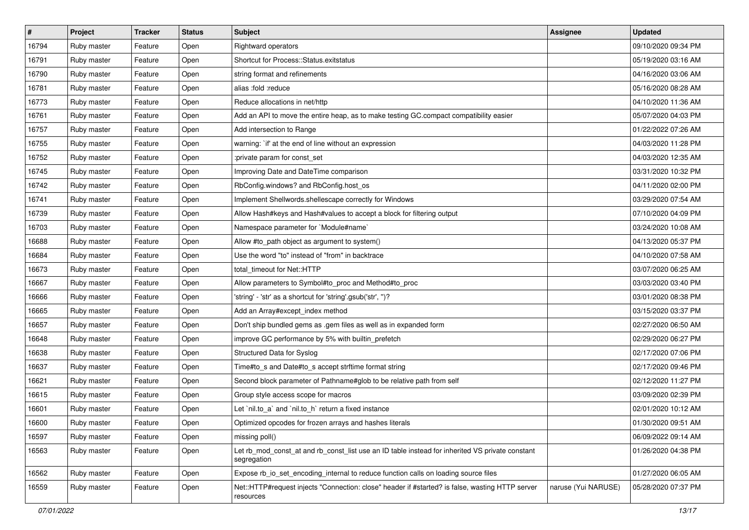| $\sharp$ | Project     | <b>Tracker</b> | <b>Status</b> | Subject                                                                                                        | <b>Assignee</b>     | <b>Updated</b>      |
|----------|-------------|----------------|---------------|----------------------------------------------------------------------------------------------------------------|---------------------|---------------------|
| 16794    | Ruby master | Feature        | Open          | Rightward operators                                                                                            |                     | 09/10/2020 09:34 PM |
| 16791    | Ruby master | Feature        | Open          | Shortcut for Process::Status.exitstatus                                                                        |                     | 05/19/2020 03:16 AM |
| 16790    | Ruby master | Feature        | Open          | string format and refinements                                                                                  |                     | 04/16/2020 03:06 AM |
| 16781    | Ruby master | Feature        | Open          | alias :fold :reduce                                                                                            |                     | 05/16/2020 08:28 AM |
| 16773    | Ruby master | Feature        | Open          | Reduce allocations in net/http                                                                                 |                     | 04/10/2020 11:36 AM |
| 16761    | Ruby master | Feature        | Open          | Add an API to move the entire heap, as to make testing GC.compact compatibility easier                         |                     | 05/07/2020 04:03 PM |
| 16757    | Ruby master | Feature        | Open          | Add intersection to Range                                                                                      |                     | 01/22/2022 07:26 AM |
| 16755    | Ruby master | Feature        | Open          | warning: `if' at the end of line without an expression                                                         |                     | 04/03/2020 11:28 PM |
| 16752    | Ruby master | Feature        | Open          | :private param for const_set                                                                                   |                     | 04/03/2020 12:35 AM |
| 16745    | Ruby master | Feature        | Open          | Improving Date and DateTime comparison                                                                         |                     | 03/31/2020 10:32 PM |
| 16742    | Ruby master | Feature        | Open          | RbConfig.windows? and RbConfig.host_os                                                                         |                     | 04/11/2020 02:00 PM |
| 16741    | Ruby master | Feature        | Open          | Implement Shellwords.shellescape correctly for Windows                                                         |                     | 03/29/2020 07:54 AM |
| 16739    | Ruby master | Feature        | Open          | Allow Hash#keys and Hash#values to accept a block for filtering output                                         |                     | 07/10/2020 04:09 PM |
| 16703    | Ruby master | Feature        | Open          | Namespace parameter for `Module#name`                                                                          |                     | 03/24/2020 10:08 AM |
| 16688    | Ruby master | Feature        | Open          | Allow #to_path object as argument to system()                                                                  |                     | 04/13/2020 05:37 PM |
| 16684    | Ruby master | Feature        | Open          | Use the word "to" instead of "from" in backtrace                                                               |                     | 04/10/2020 07:58 AM |
| 16673    | Ruby master | Feature        | Open          | total timeout for Net::HTTP                                                                                    |                     | 03/07/2020 06:25 AM |
| 16667    | Ruby master | Feature        | Open          | Allow parameters to Symbol#to_proc and Method#to_proc                                                          |                     | 03/03/2020 03:40 PM |
| 16666    | Ruby master | Feature        | Open          | 'string' - 'str' as a shortcut for 'string'.gsub('str', ")?                                                    |                     | 03/01/2020 08:38 PM |
| 16665    | Ruby master | Feature        | Open          | Add an Array#except_index method                                                                               |                     | 03/15/2020 03:37 PM |
| 16657    | Ruby master | Feature        | Open          | Don't ship bundled gems as .gem files as well as in expanded form                                              |                     | 02/27/2020 06:50 AM |
| 16648    | Ruby master | Feature        | Open          | improve GC performance by 5% with builtin_prefetch                                                             |                     | 02/29/2020 06:27 PM |
| 16638    | Ruby master | Feature        | Open          | Structured Data for Syslog                                                                                     |                     | 02/17/2020 07:06 PM |
| 16637    | Ruby master | Feature        | Open          | Time#to_s and Date#to_s accept strftime format string                                                          |                     | 02/17/2020 09:46 PM |
| 16621    | Ruby master | Feature        | Open          | Second block parameter of Pathname#glob to be relative path from self                                          |                     | 02/12/2020 11:27 PM |
| 16615    | Ruby master | Feature        | Open          | Group style access scope for macros                                                                            |                     | 03/09/2020 02:39 PM |
| 16601    | Ruby master | Feature        | Open          | Let `nil.to_a` and `nil.to_h` return a fixed instance                                                          |                     | 02/01/2020 10:12 AM |
| 16600    | Ruby master | Feature        | Open          | Optimized opcodes for frozen arrays and hashes literals                                                        |                     | 01/30/2020 09:51 AM |
| 16597    | Ruby master | Feature        | Open          | missing poll()                                                                                                 |                     | 06/09/2022 09:14 AM |
| 16563    | Ruby master | Feature        | Open          | Let rb_mod_const_at and rb_const_list use an ID table instead for inherited VS private constant<br>segregation |                     | 01/26/2020 04:38 PM |
| 16562    | Ruby master | Feature        | Open          | Expose rb_io_set_encoding_internal to reduce function calls on loading source files                            |                     | 01/27/2020 06:05 AM |
| 16559    | Ruby master | Feature        | Open          | Net::HTTP#request injects "Connection: close" header if #started? is false, wasting HTTP server<br>resources   | naruse (Yui NARUSE) | 05/28/2020 07:37 PM |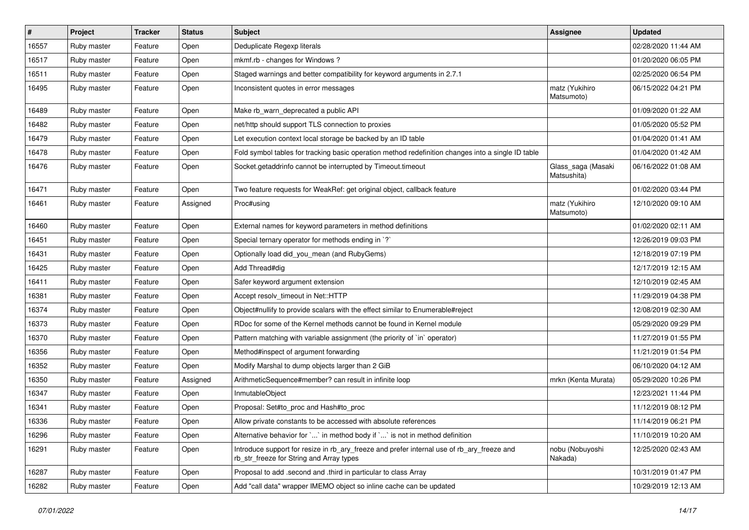| $\vert$ # | Project     | <b>Tracker</b> | <b>Status</b> | Subject                                                                                                                                | Assignee                          | <b>Updated</b>      |
|-----------|-------------|----------------|---------------|----------------------------------------------------------------------------------------------------------------------------------------|-----------------------------------|---------------------|
| 16557     | Ruby master | Feature        | Open          | Deduplicate Regexp literals                                                                                                            |                                   | 02/28/2020 11:44 AM |
| 16517     | Ruby master | Feature        | Open          | mkmf.rb - changes for Windows?                                                                                                         |                                   | 01/20/2020 06:05 PM |
| 16511     | Ruby master | Feature        | Open          | Staged warnings and better compatibility for keyword arguments in 2.7.1                                                                |                                   | 02/25/2020 06:54 PM |
| 16495     | Ruby master | Feature        | Open          | Inconsistent quotes in error messages                                                                                                  | matz (Yukihiro<br>Matsumoto)      | 06/15/2022 04:21 PM |
| 16489     | Ruby master | Feature        | Open          | Make rb_warn_deprecated a public API                                                                                                   |                                   | 01/09/2020 01:22 AM |
| 16482     | Ruby master | Feature        | Open          | net/http should support TLS connection to proxies                                                                                      |                                   | 01/05/2020 05:52 PM |
| 16479     | Ruby master | Feature        | Open          | Let execution context local storage be backed by an ID table                                                                           |                                   | 01/04/2020 01:41 AM |
| 16478     | Ruby master | Feature        | Open          | Fold symbol tables for tracking basic operation method redefinition changes into a single ID table                                     |                                   | 01/04/2020 01:42 AM |
| 16476     | Ruby master | Feature        | Open          | Socket.getaddrinfo cannot be interrupted by Timeout.timeout                                                                            | Glass_saga (Masaki<br>Matsushita) | 06/16/2022 01:08 AM |
| 16471     | Ruby master | Feature        | Open          | Two feature requests for WeakRef: get original object, callback feature                                                                |                                   | 01/02/2020 03:44 PM |
| 16461     | Ruby master | Feature        | Assigned      | Proc#using                                                                                                                             | matz (Yukihiro<br>Matsumoto)      | 12/10/2020 09:10 AM |
| 16460     | Ruby master | Feature        | Open          | External names for keyword parameters in method definitions                                                                            |                                   | 01/02/2020 02:11 AM |
| 16451     | Ruby master | Feature        | Open          | Special ternary operator for methods ending in `?`                                                                                     |                                   | 12/26/2019 09:03 PM |
| 16431     | Ruby master | Feature        | Open          | Optionally load did_you_mean (and RubyGems)                                                                                            |                                   | 12/18/2019 07:19 PM |
| 16425     | Ruby master | Feature        | Open          | Add Thread#dig                                                                                                                         |                                   | 12/17/2019 12:15 AM |
| 16411     | Ruby master | Feature        | Open          | Safer keyword argument extension                                                                                                       |                                   | 12/10/2019 02:45 AM |
| 16381     | Ruby master | Feature        | Open          | Accept resolv_timeout in Net::HTTP                                                                                                     |                                   | 11/29/2019 04:38 PM |
| 16374     | Ruby master | Feature        | Open          | Object#nullify to provide scalars with the effect similar to Enumerable#reject                                                         |                                   | 12/08/2019 02:30 AM |
| 16373     | Ruby master | Feature        | Open          | RDoc for some of the Kernel methods cannot be found in Kernel module                                                                   |                                   | 05/29/2020 09:29 PM |
| 16370     | Ruby master | Feature        | Open          | Pattern matching with variable assignment (the priority of `in` operator)                                                              |                                   | 11/27/2019 01:55 PM |
| 16356     | Ruby master | Feature        | Open          | Method#inspect of argument forwarding                                                                                                  |                                   | 11/21/2019 01:54 PM |
| 16352     | Ruby master | Feature        | Open          | Modify Marshal to dump objects larger than 2 GiB                                                                                       |                                   | 06/10/2020 04:12 AM |
| 16350     | Ruby master | Feature        | Assigned      | ArithmeticSequence#member? can result in infinite loop                                                                                 | mrkn (Kenta Murata)               | 05/29/2020 10:26 PM |
| 16347     | Ruby master | Feature        | Open          | InmutableObject                                                                                                                        |                                   | 12/23/2021 11:44 PM |
| 16341     | Ruby master | Feature        | Open          | Proposal: Set#to_proc and Hash#to_proc                                                                                                 |                                   | 11/12/2019 08:12 PM |
| 16336     | Ruby master | Feature        | Open          | Allow private constants to be accessed with absolute references                                                                        |                                   | 11/14/2019 06:21 PM |
| 16296     | Ruby master | Feature        | Open          | Alternative behavior for `` in method body if `` is not in method definition                                                           |                                   | 11/10/2019 10:20 AM |
| 16291     | Ruby master | Feature        | Open          | Introduce support for resize in rb_ary_freeze and prefer internal use of rb_ary_freeze and<br>rb str freeze for String and Array types | nobu (Nobuyoshi<br>Nakada)        | 12/25/2020 02:43 AM |
| 16287     | Ruby master | Feature        | Open          | Proposal to add .second and .third in particular to class Array                                                                        |                                   | 10/31/2019 01:47 PM |
| 16282     | Ruby master | Feature        | Open          | Add "call data" wrapper IMEMO object so inline cache can be updated                                                                    |                                   | 10/29/2019 12:13 AM |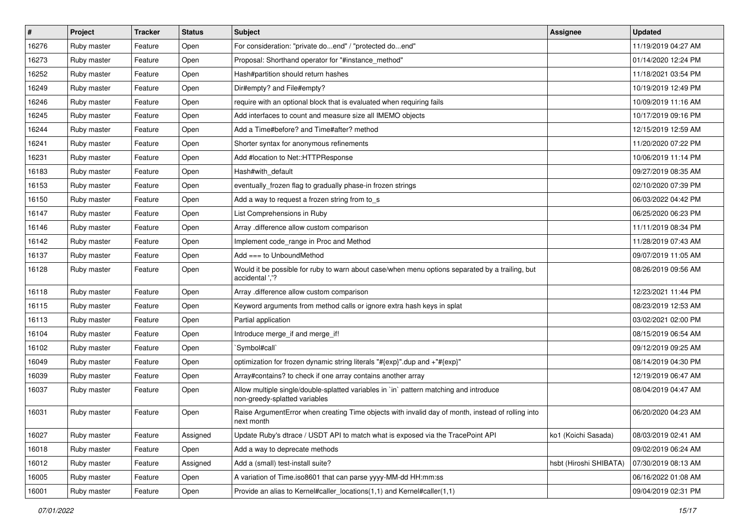| $\vert$ # | Project     | <b>Tracker</b> | <b>Status</b> | Subject                                                                                                                 | <b>Assignee</b>        | <b>Updated</b>      |
|-----------|-------------|----------------|---------------|-------------------------------------------------------------------------------------------------------------------------|------------------------|---------------------|
| 16276     | Ruby master | Feature        | Open          | For consideration: "private doend" / "protected doend"                                                                  |                        | 11/19/2019 04:27 AM |
| 16273     | Ruby master | Feature        | Open          | Proposal: Shorthand operator for "#instance_method"                                                                     |                        | 01/14/2020 12:24 PM |
| 16252     | Ruby master | Feature        | Open          | Hash#partition should return hashes                                                                                     |                        | 11/18/2021 03:54 PM |
| 16249     | Ruby master | Feature        | Open          | Dir#empty? and File#empty?                                                                                              |                        | 10/19/2019 12:49 PM |
| 16246     | Ruby master | Feature        | Open          | require with an optional block that is evaluated when requiring fails                                                   |                        | 10/09/2019 11:16 AM |
| 16245     | Ruby master | Feature        | Open          | Add interfaces to count and measure size all IMEMO objects                                                              |                        | 10/17/2019 09:16 PM |
| 16244     | Ruby master | Feature        | Open          | Add a Time#before? and Time#after? method                                                                               |                        | 12/15/2019 12:59 AM |
| 16241     | Ruby master | Feature        | Open          | Shorter syntax for anonymous refinements                                                                                |                        | 11/20/2020 07:22 PM |
| 16231     | Ruby master | Feature        | Open          | Add #location to Net::HTTPResponse                                                                                      |                        | 10/06/2019 11:14 PM |
| 16183     | Ruby master | Feature        | Open          | Hash#with_default                                                                                                       |                        | 09/27/2019 08:35 AM |
| 16153     | Ruby master | Feature        | Open          | eventually_frozen flag to gradually phase-in frozen strings                                                             |                        | 02/10/2020 07:39 PM |
| 16150     | Ruby master | Feature        | Open          | Add a way to request a frozen string from to_s                                                                          |                        | 06/03/2022 04:42 PM |
| 16147     | Ruby master | Feature        | Open          | List Comprehensions in Ruby                                                                                             |                        | 06/25/2020 06:23 PM |
| 16146     | Ruby master | Feature        | Open          | Array .difference allow custom comparison                                                                               |                        | 11/11/2019 08:34 PM |
| 16142     | Ruby master | Feature        | Open          | Implement code_range in Proc and Method                                                                                 |                        | 11/28/2019 07:43 AM |
| 16137     | Ruby master | Feature        | Open          | Add $==$ to UnboundMethod                                                                                               |                        | 09/07/2019 11:05 AM |
| 16128     | Ruby master | Feature        | Open          | Would it be possible for ruby to warn about case/when menu options separated by a trailing, but<br>accidental ','?      |                        | 08/26/2019 09:56 AM |
| 16118     | Ruby master | Feature        | Open          | Array .difference allow custom comparison                                                                               |                        | 12/23/2021 11:44 PM |
| 16115     | Ruby master | Feature        | Open          | Keyword arguments from method calls or ignore extra hash keys in splat                                                  |                        | 08/23/2019 12:53 AM |
| 16113     | Ruby master | Feature        | Open          | Partial application                                                                                                     |                        | 03/02/2021 02:00 PM |
| 16104     | Ruby master | Feature        | Open          | Introduce merge_if and merge_if!                                                                                        |                        | 08/15/2019 06:54 AM |
| 16102     | Ruby master | Feature        | Open          | `Symbol#call`                                                                                                           |                        | 09/12/2019 09:25 AM |
| 16049     | Ruby master | Feature        | Open          | optimization for frozen dynamic string literals "#{exp}".dup and +"#{exp}"                                              |                        | 08/14/2019 04:30 PM |
| 16039     | Ruby master | Feature        | Open          | Array#contains? to check if one array contains another array                                                            |                        | 12/19/2019 06:47 AM |
| 16037     | Ruby master | Feature        | Open          | Allow multiple single/double-splatted variables in `in` pattern matching and introduce<br>non-greedy-splatted variables |                        | 08/04/2019 04:47 AM |
| 16031     | Ruby master | Feature        | Open          | Raise ArgumentError when creating Time objects with invalid day of month, instead of rolling into<br>next month         |                        | 06/20/2020 04:23 AM |
| 16027     | Ruby master | Feature        | Assigned      | Update Ruby's dtrace / USDT API to match what is exposed via the TracePoint API                                         | ko1 (Koichi Sasada)    | 08/03/2019 02:41 AM |
| 16018     | Ruby master | Feature        | Open          | Add a way to deprecate methods                                                                                          |                        | 09/02/2019 06:24 AM |
| 16012     | Ruby master | Feature        | Assigned      | Add a (small) test-install suite?                                                                                       | hsbt (Hiroshi SHIBATA) | 07/30/2019 08:13 AM |
| 16005     | Ruby master | Feature        | Open          | A variation of Time.iso8601 that can parse yyyy-MM-dd HH:mm:ss                                                          |                        | 06/16/2022 01:08 AM |
| 16001     | Ruby master | Feature        | Open          | Provide an alias to Kernel#caller_locations(1,1) and Kernel#caller(1,1)                                                 |                        | 09/04/2019 02:31 PM |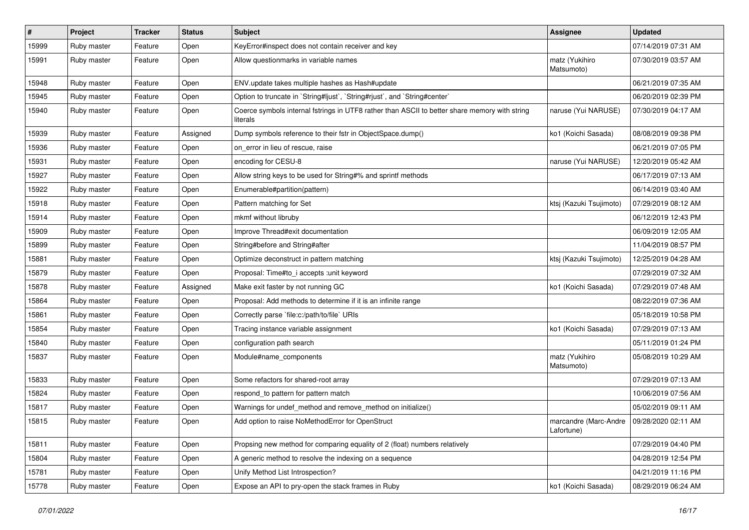| $\sharp$ | Project     | <b>Tracker</b> | <b>Status</b> | Subject                                                                                                   | Assignee                            | <b>Updated</b>      |
|----------|-------------|----------------|---------------|-----------------------------------------------------------------------------------------------------------|-------------------------------------|---------------------|
| 15999    | Ruby master | Feature        | Open          | KeyError#inspect does not contain receiver and key                                                        |                                     | 07/14/2019 07:31 AM |
| 15991    | Ruby master | Feature        | Open          | Allow questionmarks in variable names                                                                     | matz (Yukihiro<br>Matsumoto)        | 07/30/2019 03:57 AM |
| 15948    | Ruby master | Feature        | Open          | ENV.update takes multiple hashes as Hash#update                                                           |                                     | 06/21/2019 07:35 AM |
| 15945    | Ruby master | Feature        | Open          | Option to truncate in `String#ljust`, `String#rjust`, and `String#center`                                 |                                     | 06/20/2019 02:39 PM |
| 15940    | Ruby master | Feature        | Open          | Coerce symbols internal fstrings in UTF8 rather than ASCII to better share memory with string<br>literals | naruse (Yui NARUSE)                 | 07/30/2019 04:17 AM |
| 15939    | Ruby master | Feature        | Assigned      | Dump symbols reference to their fstr in ObjectSpace.dump()                                                | ko1 (Koichi Sasada)                 | 08/08/2019 09:38 PM |
| 15936    | Ruby master | Feature        | Open          | on_error in lieu of rescue, raise                                                                         |                                     | 06/21/2019 07:05 PM |
| 15931    | Ruby master | Feature        | Open          | encoding for CESU-8                                                                                       | naruse (Yui NARUSE)                 | 12/20/2019 05:42 AM |
| 15927    | Ruby master | Feature        | Open          | Allow string keys to be used for String#% and sprintf methods                                             |                                     | 06/17/2019 07:13 AM |
| 15922    | Ruby master | Feature        | Open          | Enumerable#partition(pattern)                                                                             |                                     | 06/14/2019 03:40 AM |
| 15918    | Ruby master | Feature        | Open          | Pattern matching for Set                                                                                  | ktsj (Kazuki Tsujimoto)             | 07/29/2019 08:12 AM |
| 15914    | Ruby master | Feature        | Open          | mkmf without libruby                                                                                      |                                     | 06/12/2019 12:43 PM |
| 15909    | Ruby master | Feature        | Open          | Improve Thread#exit documentation                                                                         |                                     | 06/09/2019 12:05 AM |
| 15899    | Ruby master | Feature        | Open          | String#before and String#after                                                                            |                                     | 11/04/2019 08:57 PM |
| 15881    | Ruby master | Feature        | Open          | Optimize deconstruct in pattern matching                                                                  | ktsj (Kazuki Tsujimoto)             | 12/25/2019 04:28 AM |
| 15879    | Ruby master | Feature        | Open          | Proposal: Time#to_i accepts :unit keyword                                                                 |                                     | 07/29/2019 07:32 AM |
| 15878    | Ruby master | Feature        | Assigned      | Make exit faster by not running GC                                                                        | ko1 (Koichi Sasada)                 | 07/29/2019 07:48 AM |
| 15864    | Ruby master | Feature        | Open          | Proposal: Add methods to determine if it is an infinite range                                             |                                     | 08/22/2019 07:36 AM |
| 15861    | Ruby master | Feature        | Open          | Correctly parse `file:c:/path/to/file` URIs                                                               |                                     | 05/18/2019 10:58 PM |
| 15854    | Ruby master | Feature        | Open          | Tracing instance variable assignment                                                                      | ko1 (Koichi Sasada)                 | 07/29/2019 07:13 AM |
| 15840    | Ruby master | Feature        | Open          | configuration path search                                                                                 |                                     | 05/11/2019 01:24 PM |
| 15837    | Ruby master | Feature        | Open          | Module#name_components                                                                                    | matz (Yukihiro<br>Matsumoto)        | 05/08/2019 10:29 AM |
| 15833    | Ruby master | Feature        | Open          | Some refactors for shared-root array                                                                      |                                     | 07/29/2019 07:13 AM |
| 15824    | Ruby master | Feature        | Open          | respond_to pattern for pattern match                                                                      |                                     | 10/06/2019 07:56 AM |
| 15817    | Ruby master | Feature        | Open          | Warnings for undef_method and remove_method on initialize()                                               |                                     | 05/02/2019 09:11 AM |
| 15815    | Ruby master | Feature        | Open          | Add option to raise NoMethodError for OpenStruct                                                          | marcandre (Marc-Andre<br>Lafortune) | 09/28/2020 02:11 AM |
| 15811    | Ruby master | Feature        | Open          | Propsing new method for comparing equality of 2 (float) numbers relatively                                |                                     | 07/29/2019 04:40 PM |
| 15804    | Ruby master | Feature        | Open          | A generic method to resolve the indexing on a sequence                                                    |                                     | 04/28/2019 12:54 PM |
| 15781    | Ruby master | Feature        | Open          | Unify Method List Introspection?                                                                          |                                     | 04/21/2019 11:16 PM |
| 15778    | Ruby master | Feature        | Open          | Expose an API to pry-open the stack frames in Ruby                                                        | ko1 (Koichi Sasada)                 | 08/29/2019 06:24 AM |